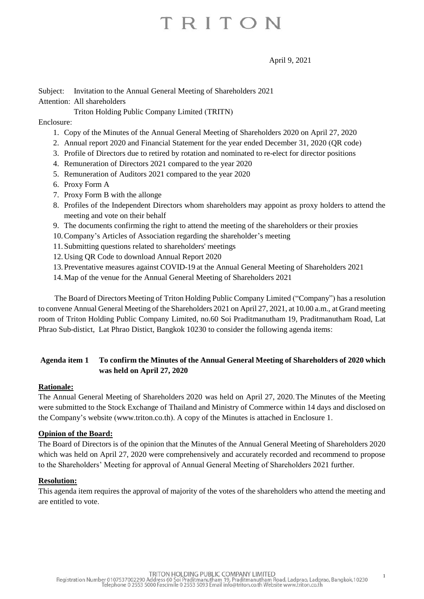April 9, 2021

## Subject: Invitation to the Annual General Meeting of Shareholders 2021 Attention: All shareholders

Triton Holding Public Company Limited (TRITN)

## Enclosure:

- 1. Copy of the Minutes of the Annual General Meeting of Shareholders 2020 on April 27, 2020
- 2. Annual report 2020 and Financial Statement for the year ended December 31, 2020 (QR code)
- 3. Profile of Directors due to retired by rotation and nominated to re-elect for director positions
- 4. Remuneration of Directors 2021 compared to the year 2020
- 5. Remuneration of Auditors 2021 compared to the year 2020
- 6. Proxy Form A
- 7. Proxy Form B with the allonge
- 8. Profiles of the Independent Directors whom shareholders may appoint as proxy holders to attend the meeting and vote on their behalf
- 9. The documents confirming the right to attend the meeting of the shareholders or their proxies
- 10.Company's Articles of Association regarding the shareholder's meeting
- 11.Submitting questions related to shareholders' meetings
- 12.Using QR Code to download Annual Report 2020
- 13.Preventative measures against COVID-19 at the Annual General Meeting of Shareholders 2021
- 14.Map of the venue for the Annual General Meeting of Shareholders 2021

The Board of Directors Meeting of Triton Holding Public Company Limited ("Company") has a resolution to convene Annual General Meeting of the Shareholders 2021 on April 27, 2021, at 10.00 a.m., at Grand meeting room of Triton Holding Public Company Limited, no.60 Soi Praditmanutham 19, Praditmanutham Road, Lat Phrao Sub-distict, Lat Phrao Distict, Bangkok 10230 to consider the following agenda items:

## **Agenda item 1 To confirm the Minutes of the Annual General Meeting of Shareholders of 2020 which was held on April 27, 2020**

## **Rationale:**

The Annual General Meeting of Shareholders 2020 was held on April 27, 2020.The Minutes of the Meeting were submitted to the Stock Exchange of Thailand and Ministry of Commerce within 14 days and disclosed on the Company's website (www.triton.co.th). A copy of the Minutes is attached in Enclosure 1.

## **Opinion of the Board:**

The Board of Directors is of the opinion that the Minutes of the Annual General Meeting of Shareholders 2020 which was held on April 27, 2020 were comprehensively and accurately recorded and recommend to propose to the Shareholders' Meeting for approval of Annual General Meeting of Shareholders 2021 further.

## **Resolution:**

This agenda item requires the approval of majority of the votes of the shareholders who attend the meeting and are entitled to vote.

1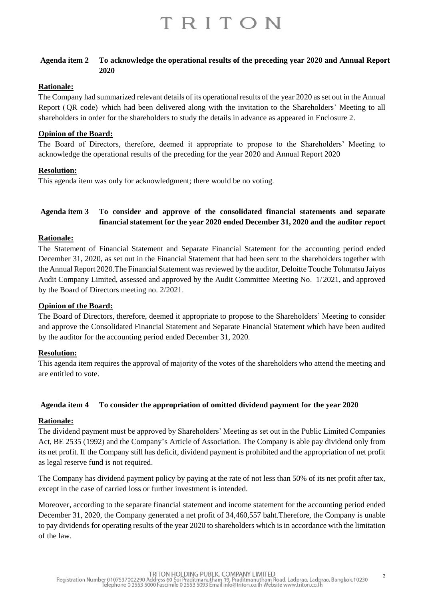### **Agenda item 2 To acknowledge the operational results of the preceding year 2020 and Annual Report 2020**

## **Rationale:**

The Company had summarized relevant details of its operational results of the year 2020 as set out in the Annual Report (QR code) which had been delivered along with the invitation to the Shareholders' Meeting to all shareholders in order for the shareholders to study the details in advance as appeared in Enclosure 2.

#### **Opinion of the Board:**

The Board of Directors, therefore, deemed it appropriate to propose to the Shareholders' Meeting to acknowledge the operational results of the preceding for the year 2020 and Annual Report 2020

#### **Resolution:**

This agenda item was only for acknowledgment; there would be no voting.

## **Agenda item 3 To consider and approve of the consolidated financial statements and separate financial statement for the year 2020 ended December 31, 2020 and the auditor report**

#### **Rationale:**

The Statement of Financial Statement and Separate Financial Statement for the accounting period ended December 31, 2020, as set out in the Financial Statement that had been sent to the shareholders together with the Annual Report 2020.The Financial Statement was reviewed by the auditor, Deloitte Touche Tohmatsu Jaiyos Audit Company Limited, assessed and approved by the Audit Committee Meeting No. 1/2021, and approved by the Board of Directors meeting no. 2/2021.

#### **Opinion of the Board:**

The Board of Directors, therefore, deemed it appropriate to propose to the Shareholders' Meeting to consider and approve the Consolidated Financial Statement and Separate Financial Statement which have been audited by the auditor for the accounting period ended December 31, 2020.

## **Resolution:**

This agenda item requires the approval of majority of the votes of the shareholders who attend the meeting and are entitled to vote.

#### **Agenda item 4 To consider the appropriation of omitted dividend payment for the year 2020**

#### **Rationale:**

The dividend payment must be approved by Shareholders' Meeting as set out in the Public Limited Companies Act, BE 2535 (1992) and the Company's Article of Association. The Company is able pay dividend only from its net profit. If the Company still has deficit, dividend payment is prohibited and the appropriation of net profit as legal reserve fund is not required.

The Company has dividend payment policy by paying at the rate of not less than 50% of its net profit after tax, except in the case of carried loss or further investment is intended.

Moreover, according to the separate financial statement and income statement for the accounting period ended December 31, 2020, the Company generated a net profit of 34,460,557 baht.Therefore, the Company is unable to pay dividends for operating results of the year 2020 to shareholders which is in accordance with the limitation of the law.

 $\overline{\phantom{a}}$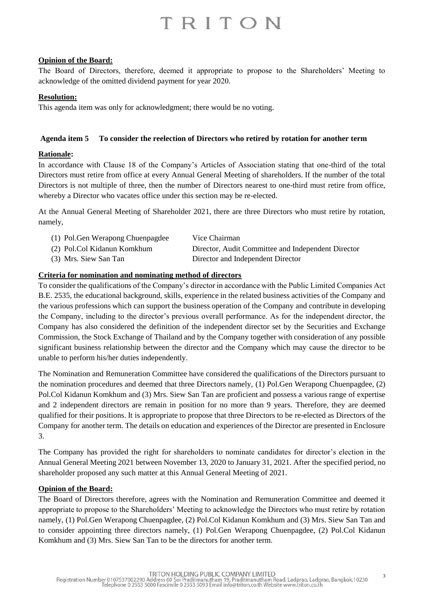### **Opinion of the Board:**

The Board of Directors, therefore, deemed it appropriate to propose to the Shareholders' Meeting to acknowledge of the omitted dividend payment for year 2020.

#### **Resolution:**

This agenda item was only for acknowledgment; there would be no voting.

#### **Agenda item 5 To consider the reelection of Directors who retired by rotation for another term**

## **Rationale:**

In accordance with Clause 18 of the Company's Articles of Association stating that one-third of the total Directors must retire from office at every Annual General Meeting of shareholders. If the number of the total Directors is not multiple of three, then the number of Directors nearest to one-third must retire from office, whereby a Director who vacates office under this section may be re-elected.

At the Annual General Meeting of Shareholder 2021, there are three Directors who must retire by rotation, namely,

| (1) Pol. Gen Werapong Chuenpagdee | Vice Chairman                                      |
|-----------------------------------|----------------------------------------------------|
| (2) Pol.Col Kidanun Komkhum       | Director, Audit Committee and Independent Director |
| (3) Mrs. Siew San Tan             | Director and Independent Director                  |

#### **Criteria for nomination and nominating method of directors**

To consider the qualifications of the Company's director in accordance with the Public Limited Companies Act B.E. 2535, the educational background, skills, experience in the related business activities of the Company and the various professions which can support the business operation of the Company and contribute in developing the Company, including to the director's previous overall performance. As for the independent director, the Company has also considered the definition of the independent director set by the Securities and Exchange Commission, the Stock Exchange of Thailand and by the Company together with consideration of any possible significant business relationship between the director and the Company which may cause the director to be unable to perform his/her duties independently.

The Nomination and Remuneration Committee have considered the qualifications of the Directors pursuant to the nomination procedures and deemed that three Directors namely, (1) Pol.Gen Werapong Chuenpagdee, (2) Pol.Col Kidanun Komkhum and (3) Mrs. Siew San Tan are proficient and possess a various range of expertise and 2 independent directors are remain in position for no more than 9 years. Therefore, they are deemed qualified for their positions. It is appropriate to propose that three Directors to be re-elected as Directors of the Company for another term. The details on education and experiences of the Director are presented in Enclosure 3.

The Company has provided the right for shareholders to nominate candidates for director's election in the Annual General Meeting 2021 between November 13, 2020 to January 31, 2021. After the specified period, no shareholder proposed any such matter at this Annual General Meeting of 2021.

## **Opinion of the Board:**

The Board of Directors therefore, agrees with the Nomination and Remuneration Committee and deemed it appropriate to propose to the Shareholders' Meeting to acknowledge the Directors who must retire by rotation namely, (1) Pol.Gen Werapong Chuenpagdee, (2) Pol.Col Kidanun Komkhum and (3) Mrs. Siew San Tan and to consider appointing three directors namely, (1) Pol.Gen Werapong Chuenpagdee, (2) Pol.Col Kidanun Komkhum and (3) Mrs. Siew San Tan to be the directors for another term.

3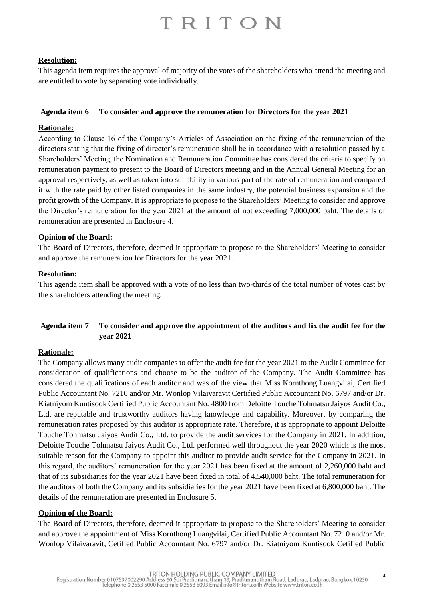### **Resolution:**

This agenda item requires the approval of majority of the votes of the shareholders who attend the meeting and are entitled to vote by separating vote individually.

#### **Agenda item 6 To consider and approve the remuneration for Directors for the year 2021**

### **Rationale:**

According to Clause 16 of the Company's Articles of Association on the fixing of the remuneration of the directors stating that the fixing of director's remuneration shall be in accordance with a resolution passed by a Shareholders' Meeting, the Nomination and Remuneration Committee has considered the criteria to specify on remuneration payment to present to the Board of Directors meeting and in the Annual General Meeting for an approval respectively, as well as taken into suitability in various part of the rate of remuneration and compared it with the rate paid by other listed companies in the same industry, the potential business expansion and the profit growth of the Company. It is appropriate to propose to the Shareholders' Meeting to consider and approve the Director's remuneration for the year 2021 at the amount of not exceeding 7,000,000 baht. The details of remuneration are presented in Enclosure 4.

#### **Opinion of the Board:**

The Board of Directors, therefore, deemed it appropriate to propose to the Shareholders' Meeting to consider and approve the remuneration for Directors for the year 2021.

#### **Resolution:**

This agenda item shall be approved with a vote of no less than two-thirds of the total number of votes cast by the shareholders attending the meeting.

## **Agenda item 7 To consider and approve the appointment of the auditors and fix the audit fee for the year 2021**

#### **Rationale:**

The Company allows many audit companies to offer the audit fee for the year 2021 to the Audit Committee for consideration of qualifications and choose to be the auditor of the Company. The Audit Committee has considered the qualifications of each auditor and was of the view that Miss Kornthong Luangvilai, Certified Public Accountant No. 7210 and/or Mr. Wonlop Vilaivaravit Certified Public Accountant No. 6797 and/or Dr. Kiatniyom Kuntisook Certified Public Accountant No. 4800 from Deloitte Touche Tohmatsu Jaiyos Audit Co., Ltd. are reputable and trustworthy auditors having knowledge and capability. Moreover, by comparing the remuneration rates proposed by this auditor is appropriate rate. Therefore, it is appropriate to appoint Deloitte Touche Tohmatsu Jaiyos Audit Co., Ltd. to provide the audit services for the Company in 2021. In addition, Deloitte Touche Tohmatsu Jaiyos Audit Co., Ltd. performed well throughout the year 2020 which is the most suitable reason for the Company to appoint this auditor to provide audit service for the Company in 2021. In this regard, the auditors' remuneration for the year 2021 has been fixed at the amount of 2,260,000 baht and that of its subsidiaries for the year 2021 have been fixed in total of 4,540,000 baht. The total remuneration for the auditors of both the Company and its subsidiaries for the year 2021 have been fixed at 6,800,000 baht. The details of the remuneration are presented in Enclosure 5.

#### **Opinion of the Board:**

The Board of Directors, therefore, deemed it appropriate to propose to the Shareholders' Meeting to consider and approve the appointment of Miss Kornthong Luangvilai, Certified Public Accountant No. 7210 and/or Mr. Wonlop Vilaivaravit, Cetified Public Accountant No. 6797 and/or Dr. Kiatniyom Kuntisook Cetified Public

4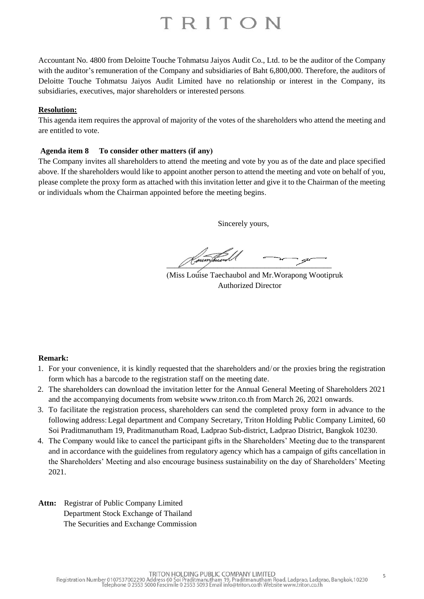Accountant No. 4800 from Deloitte Touche Tohmatsu Jaiyos Audit Co., Ltd. to be the auditor of the Company with the auditor's remuneration of the Company and subsidiaries of Baht 6,800,000. Therefore, the auditors of Deloitte Touche Tohmatsu Jaiyos Audit Limited have no relationship or interest in the Company, its subsidiaries, executives, major shareholders or interested persons.

#### **Resolution:**

This agenda item requires the approval of majority of the votes of the shareholders who attend the meeting and are entitled to vote.

### **Agenda item 8 To consider other matters (if any)**

The Company invites all shareholders to attend the meeting and vote by you as of the date and place specified above. If the shareholders would like to appoint another person to attend the meeting and vote on behalf of you, please complete the proxy form as attached with this invitation letter and give it to the Chairman of the meeting or individuals whom the Chairman appointed before the meeting begins.

Sincerely yours,

 $\sqrt{2}$ 

(Miss Louise Taechaubol and Mr.Worapong Wootipruk Authorized Director

## **Remark:**

- 1. For your convenience, it is kindly requested that the shareholders and/or the proxies bring the registration form which has a barcode to the registration staff on the meeting date.
- 2. The shareholders can download the invitation letter for the Annual General Meeting of Shareholders 2021 and the accompanying documents from website www.triton.co.th from March 26, 2021 onwards.
- 3. To facilitate the registration process, shareholders can send the completed proxy form in advance to the following address:Legal department and Company Secretary, Triton Holding Public Company Limited, 60 Soi Praditmanutham 19, Praditmanutham Road, Ladprao Sub-district, Ladprao District, Bangkok 10230.
- 4. The Company would like to cancel the participant gifts in the Shareholders' Meeting due to the transparent and in accordance with the guidelines from regulatory agency which has a campaign of gifts cancellation in the Shareholders' Meeting and also encourage business sustainability on the day of Shareholders' Meeting 2021.
- **Attn:** Registrar of Public Company Limited Department Stock Exchange of Thailand The Securities and Exchange Commission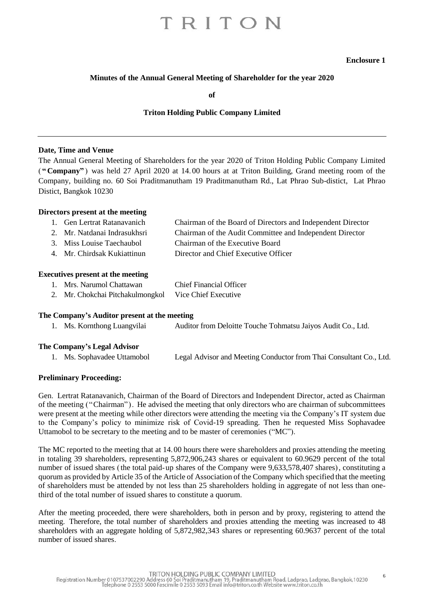#### **Enclosure 1**

#### **Minutes of the Annual General Meeting of Shareholder for the year 2020**

**of**

#### **Triton Holding Public Company Limited**

#### **Date, Time and Venue**

The Annual General Meeting of Shareholders for the year 2020 of Triton Holding Public Company Limited ( **"Company"** ) was held 27 April 2020 at 14. 00 hours at at Triton Building, Grand meeting room of the Company, building no. 60 Soi Praditmanutham 19 Praditmanutham Rd., Lat Phrao Sub-distict, Lat Phrao Distict, Bangkok 10230

#### **Directors present at the meeting**

| 1. Gen Lertrat Ratanavanich | Chairman of the Board of Directors and Independent Director |
|-----------------------------|-------------------------------------------------------------|
|                             |                                                             |

- 2. Mr. Natdanai Indrasukhsri Chairman of the Audit Committee and Independent Director
- 3. Miss Louise Taechaubol Chairman of the Executive Board
- 4. Mr. Chirdsak Kukiattinun Director and Chief Executive Officer

#### **Executives present at the meeting**

| Mrs. Narumol Chattawan                                                                         | <b>Chief Financial Officer</b> |
|------------------------------------------------------------------------------------------------|--------------------------------|
| $\mathbf{M}$ $\alpha$ 1 1 $\mathbf{N}$ 1 1 1 1 $\mathbf{V}$ $\alpha$ $\mathbf{r}$ $\mathbf{r}$ |                                |

2. Mr. Chokchai Pitchakulmongkol Vice Chief Executive

#### **The Company's Auditor present at the meeting**

|  | 1. Ms. Kornthong Luangvilai | Auditor from Deloitte Touche Tohmatsu Jaiyos Audit Co., Ltd. |
|--|-----------------------------|--------------------------------------------------------------|
|--|-----------------------------|--------------------------------------------------------------|

#### **The Company's Legal Advisor**

| 1. Ms. Sophavadee Uttamobol | Legal Advisor and Meeting Conductor from Thai Consultant Co., Ltd. |
|-----------------------------|--------------------------------------------------------------------|
|                             |                                                                    |

#### **Preliminary Proceeding:**

Gen. Lertrat Ratanavanich, Chairman of the Board of Directors and Independent Director, acted as Chairman of the meeting ("Chairman"). He advised the meeting that only directors who are chairman of subcommittees were present at the meeting while other directors were attending the meeting via the Company's IT system due to the Company's policy to minimize risk of Covid-19 spreading. Then he requested Miss Sophavadee Uttamobol to be secretary to the meeting and to be master of ceremonies ("MC").

The MC reported to the meeting that at 14.00 hours there were shareholders and proxies attending the meeting in totaling 39 shareholders, representing 5,872,906,243 shares or equivalent to 60.9629 percent of the total number of issued shares (the total paid-up shares of the Company were 9,633,578,407 shares), constituting a quorum as provided by Article 35 of the Article of Association of the Company which specified that the meeting of shareholders must be attended by not less than 25 shareholders holding in aggregate of not less than onethird of the total number of issued shares to constitute a quorum.

After the meeting proceeded, there were shareholders, both in person and by proxy, registering to attend the meeting. Therefore, the total number of shareholders and proxies attending the meeting was increased to 48 shareholders with an aggregate holding of 5,872,982,343 shares or representing 60.9637 percent of the total number of issued shares.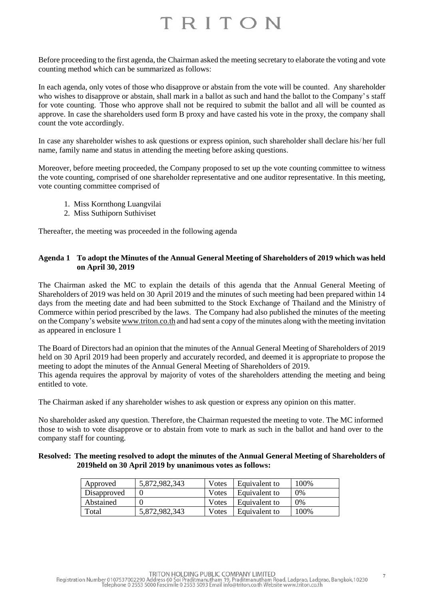Before proceeding to the first agenda, the Chairman asked the meeting secretary to elaborate the voting and vote counting method which can be summarized as follows:

In each agenda, only votes of those who disapprove or abstain from the vote will be counted. Any shareholder who wishes to disapprove or abstain, shall mark in a ballot as such and hand the ballot to the Company's staff for vote counting. Those who approve shall not be required to submit the ballot and all will be counted as approve. In case the shareholders used form B proxy and have casted his vote in the proxy, the company shall count the vote accordingly.

In case any shareholder wishes to ask questions or express opinion, such shareholder shall declare his/her full name, family name and status in attending the meeting before asking questions.

Moreover, before meeting proceeded, the Company proposed to set up the vote counting committee to witness the vote counting, comprised of one shareholder representative and one auditor representative. In this meeting, vote counting committee comprised of

- 1. Miss Kornthong Luangvilai
- 2. Miss Suthiporn Suthiviset

Thereafter, the meeting was proceeded in the following agenda

### **Agenda 1 To adopt the Minutes of the Annual General Meeting of Shareholders of 2019 which was held on April 30, 2019**

The Chairman asked the MC to explain the details of this agenda that the Annual General Meeting of Shareholders of 2019 was held on 30 April 2019 and the minutes of such meeting had been prepared within 14 days from the meeting date and had been submitted to the Stock Exchange of Thailand and the Ministry of Commerce within period prescribed by the laws. The Company had also published the minutes of the meeting on the Company's websit[e www.triton.co.th](http://www.triton.co.th/) and had sent a copy of the minutes along with the meeting invitation as appeared in enclosure 1

The Board of Directors had an opinion that the minutes of the Annual General Meeting of Shareholders of 2019 held on 30 April 2019 had been properly and accurately recorded, and deemed it is appropriate to propose the meeting to adopt the minutes of the Annual General Meeting of Shareholders of 2019. This agenda requires the approval by majority of votes of the shareholders attending the meeting and being entitled to vote.

The Chairman asked if any shareholder wishes to ask question or express any opinion on this matter.

No shareholder asked any question. Therefore, the Chairman requested the meeting to vote. The MC informed those to wish to vote disapprove or to abstain from vote to mark as such in the ballot and hand over to the company staff for counting.

#### **Resolved: The meeting resolved to adopt the minutes of the Annual General Meeting of Shareholders of 2019held on 30 April 2019 by unanimous votes as follows:**

| Approved    | 5,872,982,343 | Votes | Equivalent to | 100\% |
|-------------|---------------|-------|---------------|-------|
| Disapproved |               | Votes | Equivalent to | 0%    |
| Abstained   |               | Votes | Equivalent to | 0%    |
| Total       | 5,872,982,343 | Votes | Equivalent to | 100%  |

TRITON HOLDING PUBLIC COMPANY LIMITED<br>Registration Number 0107537002290 Address 60 Soi Praditmanutham 19, Praditmanutham Road, Ladprao, Ladprao, Bangkok,10230<br>Telephone 0 2553 5000 Fascimile 0 2553 5093 Email info@triton.c

7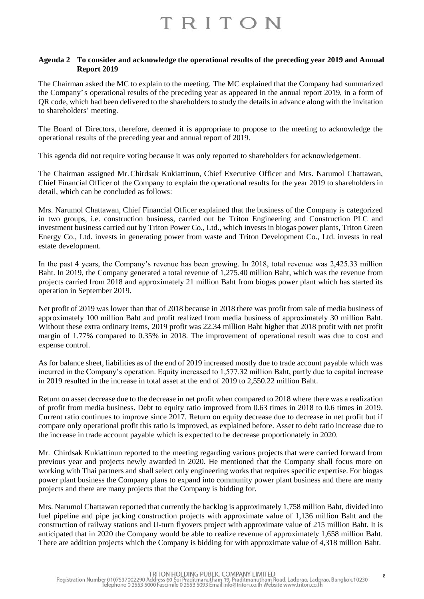#### **Agenda 2 To consider and acknowledge the operational results of the preceding year 2019 and Annual Report 2019**

The Chairman asked the MC to explain to the meeting. The MC explained that the Company had summarized the Company's operational results of the preceding year as appeared in the annual report 2019, in a form of QR code, which had been delivered to the shareholders to study the details in advance along with the invitation to shareholders' meeting.

The Board of Directors, therefore, deemed it is appropriate to propose to the meeting to acknowledge the operational results of the preceding year and annual report of 2019.

This agenda did not require voting because it was only reported to shareholders for acknowledgement.

The Chairman assigned Mr.Chirdsak Kukiattinun, Chief Executive Officer and Mrs. Narumol Chattawan, Chief Financial Officer of the Company to explain the operational results for the year 2019 to shareholders in detail, which can be concluded as follows:

Mrs. Narumol Chattawan, Chief Financial Officer explained that the business of the Company is categorized in two groups, i.e. construction business, carried out be Triton Engineering and Construction PLC and investment business carried out by Triton Power Co., Ltd., which invests in biogas power plants, Triton Green Energy Co., Ltd. invests in generating power from waste and Triton Development Co., Ltd. invests in real estate development.

In the past 4 years, the Company's revenue has been growing. In 2018, total revenue was 2,425.33 million Baht. In 2019, the Company generated a total revenue of 1,275.40 million Baht, which was the revenue from projects carried from 2018 and approximately 21 million Baht from biogas power plant which has started its operation in September 2019.

Net profit of 2019 was lower than that of 2018 because in 2018 there was profit from sale of media business of approximately 100 million Baht and profit realized from media business of approximately 30 million Baht. Without these extra ordinary items, 2019 profit was 22.34 million Baht higher that 2018 profit with net profit margin of 1.77% compared to 0.35% in 2018. The improvement of operational result was due to cost and expense control.

As for balance sheet, liabilities as of the end of 2019 increased mostly due to trade account payable which was incurred in the Company's operation. Equity increased to 1,577.32 million Baht, partly due to capital increase in 2019 resulted in the increase in total asset at the end of 2019 to 2,550.22 million Baht.

Return on asset decrease due to the decrease in net profit when compared to 2018 where there was a realization of profit from media business. Debt to equity ratio improved from 0.63 times in 2018 to 0.6 times in 2019. Current ratio continues to improve since 2017. Return on equity decrease due to decrease in net profit but if compare only operational profit this ratio is improved, as explained before. Asset to debt ratio increase due to the increase in trade account payable which is expected to be decrease proportionately in 2020.

Mr. Chirdsak Kukiattinun reported to the meeting regarding various projects that were carried forward from previous year and projects newly awarded in 2020. He mentioned that the Company shall focus more on working with Thai partners and shall select only engineering works that requires specific expertise. For biogas power plant business the Company plans to expand into community power plant business and there are many projects and there are many projects that the Company is bidding for.

Mrs. Narumol Chattawan reported that currently the backlog is approximately 1,758 million Baht, divided into fuel pipeline and pipe jacking construction projects with approximate value of 1,136 million Baht and the construction of railway stations and U-turn flyovers project with approximate value of 215 million Baht. It is anticipated that in 2020 the Company would be able to realize revenue of approximately 1,658 million Baht. There are addition projects which the Company is bidding for with approximate value of 4,318 million Baht.

8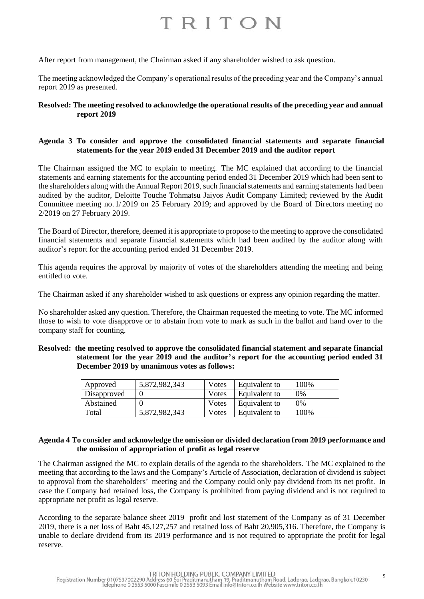After report from management, the Chairman asked if any shareholder wished to ask question.

The meeting acknowledged the Company's operational results of the preceding year and the Company's annual report 2019 as presented.

### **Resolved: The meeting resolved to acknowledge the operational results of the preceding year and annual report 2019**

### **Agenda 3 To consider and approve the consolidated financial statements and separate financial statements for the year 2019 ended 31 December 2019 and the auditor report**

The Chairman assigned the MC to explain to meeting. The MC explained that according to the financial statements and earning statements for the accounting period ended 31 December 2019 which had been sent to the shareholders along with the Annual Report 2019, such financial statements and earning statements had been audited by the auditor, Deloitte Touche Tohmatsu Jaiyos Audit Company Limited; reviewed by the Audit Committee meeting no.1/2019 on 25 February 2019; and approved by the Board of Directors meeting no 2/2019 on 27 February 2019.

The Board of Director, therefore, deemed it is appropriate to propose to the meeting to approve the consolidated financial statements and separate financial statements which had been audited by the auditor along with auditor's report for the accounting period ended 31 December 2019.

This agenda requires the approval by majority of votes of the shareholders attending the meeting and being entitled to vote.

The Chairman asked if any shareholder wished to ask questions or express any opinion regarding the matter.

No shareholder asked any question. Therefore, the Chairman requested the meeting to vote. The MC informed those to wish to vote disapprove or to abstain from vote to mark as such in the ballot and hand over to the company staff for counting.

#### **Resolved: the meeting resolved to approve the consolidated financial statement and separate financial statement for the year 2019 and the auditor's report for the accounting period ended 31 December 2019 by unanimous votes as follows:**

| Approved    | 5,872,982,343 | Votes | Equivalent to | 100\% |
|-------------|---------------|-------|---------------|-------|
| Disapproved |               | Votes | Equivalent to | 0%    |
| Abstained   |               | Votes | Equivalent to | 0%    |
| Total       | 5,872,982,343 | Votes | Equivalent to | 100%  |

#### **Agenda 4 To consider and acknowledge the omission or divided declaration from 2019 performance and the omission of appropriation of profit as legal reserve**

The Chairman assigned the MC to explain details of the agenda to the shareholders. The MC explained to the meeting that according to the laws and the Company's Article of Association, declaration of dividend is subject to approval from the shareholders' meeting and the Company could only pay dividend from its net profit. In case the Company had retained loss, the Company is prohibited from paying dividend and is not required to appropriate net profit as legal reserve.

According to the separate balance sheet 2019 profit and lost statement of the Company as of 31 December 2019, there is a net loss of Baht 45,127,257 and retained loss of Baht 20,905,316. Therefore, the Company is unable to declare dividend from its 2019 performance and is not required to appropriate the profit for legal reserve.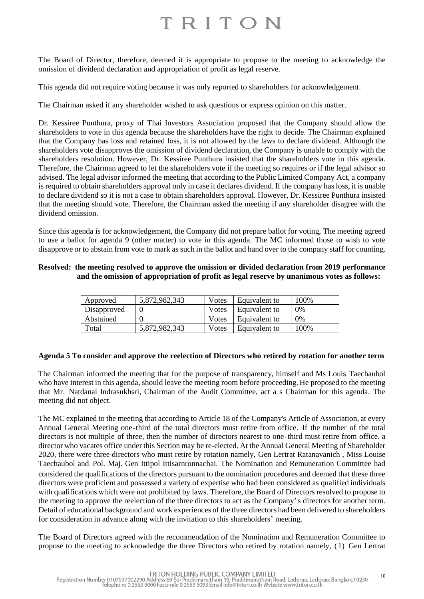The Board of Director, therefore, deemed it is appropriate to propose to the meeting to acknowledge the omission of dividend declaration and appropriation of profit as legal reserve.

This agenda did not require voting because it was only reported to shareholders for acknowledgement.

The Chairman asked if any shareholder wished to ask questions or express opinion on this matter.

Dr. Kessiree Punthura, proxy of Thai Investors Association proposed that the Company should allow the shareholders to vote in this agenda because the shareholders have the right to decide. The Chairman explained that the Company has loss and retained loss, it is not allowed by the laws to declare dividend. Although the shareholders vote disapproves the omission of dividend declaration, the Company is unable to comply with the shareholders resolution. However, Dr. Kessiree Punthura insisted that the shareholders vote in this agenda. Therefore, the Chairman agreed to let the shareholders vote if the meeting so requires or if the legal advisor so advised. The legal advisor informed the meeting that according to the Public Limited Company Act, a company is required to obtain shareholders approval only in case it declares dividend. If the company has loss, it is unable to declare dividend so it is not a case to obtain shareholders approval. However, Dr. Kessiree Punthura insisted that the meeting should vote. Therefore, the Chairman asked the meeting if any shareholder disagree with the dividend omission.

Since this agenda is for acknowledgement, the Company did not prepare ballot for voting, The meeting agreed to use a ballot for agenda 9 (other matter) to vote in this agenda. The MC informed those to wish to vote disapprove or to abstain from vote to mark as such in the ballot and hand over to the company staff for counting.

### **Resolved: the meeting resolved to approve the omission or divided declaration from 2019 performance and the omission of appropriation of profit as legal reserve by unanimous votes as follows:**

| Approved    | 5,872,982,343 | Votes | Equivalent to | 100\% |
|-------------|---------------|-------|---------------|-------|
| Disapproved |               | Votes | Equivalent to | 0%    |
| Abstained   |               | Votes | Equivalent to | $0\%$ |
| Total       | 5.872.982.343 | Votes | Equivalent to | 100\% |

## **Agenda 5 To consider and approve the reelection of Directors who retired by rotation for another term**

The Chairman informed the meeting that for the purpose of transparency, himself and Ms Louis Taechaubol who have interest in this agenda, should leave the meeting room before proceeding. He proposed to the meeting that Mr. Natdanai Indrasukhsri, Chairman of the Audit Committee, act a s Chairman for this agenda. The meeting did not object.

The MC explained to the meeting that according to Article 18 of the Company's Article of Association, at every Annual General Meeting one-third of the total directors must retire from office. If the number of the total directors is not multiple of three, then the number of directors nearest to one-third must retire from office. a director who vacates office under this Section may be re-elected. At the Annual General Meeting of Shareholder 2020, there were three directors who must retire by rotation namely, Gen Lertrat Ratanavanich , Miss Louise Taechaubol and. Pol. Maj. Gen Ittipol Ittisarnronnachai. The Nomination and Remuneration Committee had considered the qualifications of the directors pursuant to the nomination procedures and deemed that these three directors were proficient and possessed a variety of expertise who had been considered as qualified individuals with qualifications which were not prohibited by laws. Therefore, the Board of Directors resolved to propose to the meeting to approve the reelection of the three directors to act as the Company's directors for another term. Detail of educational background and work experiences of the three directors had been delivered to shareholders for consideration in advance along with the invitation to this shareholders' meeting.

The Board of Directors agreed with the recommendation of the Nomination and Remuneration Committee to propose to the meeting to acknowledge the three Directors who retired by rotation namely, (1) Gen Lertrat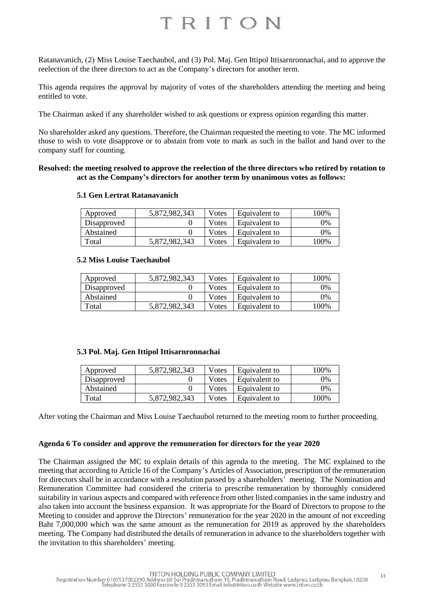Ratanavanich, (2) Miss Louise Taechaubol, and (3) Pol. Maj. Gen Ittipol Ittisarnronnachai, and to approve the reelection of the three directors to act as the Company's directors for another term.

This agenda requires the approval by majority of votes of the shareholders attending the meeting and being entitled to vote.

The Chairman asked if any shareholder wished to ask questions or express opinion regarding this matter.

No shareholder asked any questions. Therefore, the Chairman requested the meeting to vote. The MC informed those to wish to vote disapprove or to abstain from vote to mark as such in the ballot and hand over to the company staff for counting.

#### **Resolved: the meeting resolved to approve the reelection of the three directors who retired by rotation to act as the Company's directors for another term by unanimous votes as follows:**

#### **5.1 Gen Lertrat Ratanavanich**

| Approved    | 5,872,982,343 | Votes | Equivalent to | 100% |
|-------------|---------------|-------|---------------|------|
| Disapproved |               | Votes | Equivalent to | 0%   |
| Abstained   |               | Votes | Equivalent to | 0%   |
| Total       | 5,872,982,343 | Votes | Equivalent to | 100% |

#### **5.2 Miss Louise Taechaubol**

| Approved    | 5,872,982,343 | Votes         | Equivalent to | 100% |
|-------------|---------------|---------------|---------------|------|
| Disapproved |               | <b>V</b> otes | Equivalent to | 0%   |
| Abstained   |               | <b>V</b> otes | Equivalent to | 0%   |
| Total       | 5,872,982,343 | Votes         | Equivalent to | 100% |

#### **5.3 Pol. Maj. Gen Ittipol Ittisarnronnachai**

| Approved    | 5,872,982,343 | Votes | Equivalent to | 100%  |
|-------------|---------------|-------|---------------|-------|
| Disapproved |               | Votes | Equivalent to | $0\%$ |
| Abstained   |               | Votes | Equivalent to | 0%    |
| Total       | 5.872.982.343 | Votes | Equivalent to | 100%  |

After voting the Chairman and Miss Louise Taechaubol returned to the meeting room to further proceeding.

#### **Agenda 6 To consider and approve the remuneration for directors for the year 2020**

The Chairman assigned the MC to explain details of this agenda to the meeting. The MC explained to the meeting that according to Article 16 of the Company's Articles of Association, prescription of the remuneration for directors shall be in accordance with a resolution passed by a shareholders' meeting. The Nomination and Remuneration Committee had considered the criteria to prescribe remuneration by thoroughly considered suitability in various aspects and compared with reference from other listed companies in the same industry and also taken into account the business expansion. It was appropriate for the Board of Directors to propose to the Meeting to consider and approve the Directors' remuneration for the year 2020 in the amount of not exceeding Baht 7,000,000 which was the same amount as the remuneration for 2019 as approved by the shareholders meeting. The Company had distributed the details of remuneration in advance to the shareholders together with the invitation to this shareholders' meeting.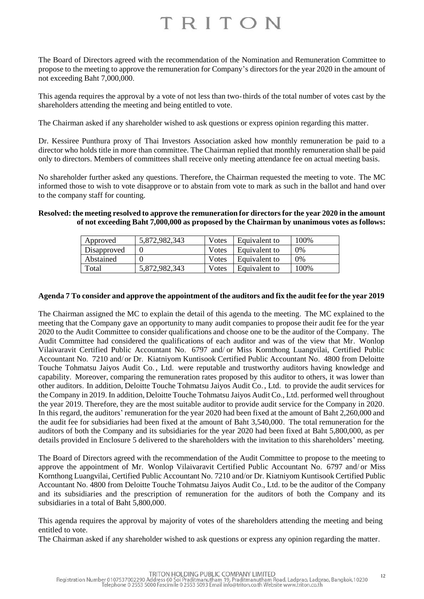The Board of Directors agreed with the recommendation of the Nomination and Remuneration Committee to propose to the meeting to approve the remuneration for Company's directors for the year 2020 in the amount of not exceeding Baht 7,000,000.

This agenda requires the approval by a vote of not less than two-thirds of the total number of votes cast by the shareholders attending the meeting and being entitled to vote.

The Chairman asked if any shareholder wished to ask questions or express opinion regarding this matter.

Dr. Kessiree Punthura proxy of Thai Investors Association asked how monthly remuneration be paid to a director who holds title in more than committee. The Chairman replied that monthly remuneration shall be paid only to directors. Members of committees shall receive only meeting attendance fee on actual meeting basis.

No shareholder further asked any questions. Therefore, the Chairman requested the meeting to vote. The MC informed those to wish to vote disapprove or to abstain from vote to mark as such in the ballot and hand over to the company staff for counting.

#### **Resolved: the meeting resolved to approve the remuneration for directors for the year 2020 in the amount of not exceeding Baht 7,000,000 as proposed by the Chairman by unanimous votes as follows:**

| Approved    | 5,872,982,343 | Votes | Equivalent to | 100% |
|-------------|---------------|-------|---------------|------|
| Disapproved |               | Votes | Equivalent to | 0%   |
| Abstained   |               | Votes | Equivalent to | 0%   |
| Total       | 5,872,982,343 | Votes | Equivalent to | 100% |

#### **Agenda 7 To consider and approve the appointment of the auditors and fix the audit fee for the year 2019**

The Chairman assigned the MC to explain the detail of this agenda to the meeting. The MC explained to the meeting that the Company gave an opportunity to many audit companies to propose their audit fee for the year 2020 to the Audit Committee to consider qualifications and choose one to be the auditor of the Company. The Audit Committee had considered the qualifications of each auditor and was of the view that Mr. Wonlop Vilaivaravit Certified Public Accountant No. 6797 and/ or Miss Kornthong Luangvilai, Certified Public Accountant No. 7210 and/or Dr. Kiatniyom Kuntisook Certified Public Accountant No. 4800 from Deloitte Touche Tohmatsu Jaiyos Audit Co. , Ltd. were reputable and trustworthy auditors having knowledge and capability. Moreover, comparing the remuneration rates proposed by this auditor to others, it was lower than other auditors. In addition, Deloitte Touche Tohmatsu Jaiyos Audit Co., Ltd. to provide the audit services for the Company in 2019. In addition, Deloitte Touche Tohmatsu Jaiyos Audit Co., Ltd. performed well throughout the year 2019. Therefore, they are the most suitable auditor to provide audit service for the Company in 2020. In this regard, the auditors' remuneration for the year 2020 had been fixed at the amount of Baht 2,260,000 and the audit fee for subsidiaries had been fixed at the amount of Baht 3,540,000. The total remuneration for the auditors of both the Company and its subsidiaries for the year 2020 had been fixed at Baht 5,800,000, as per details provided in Enclosure 5 delivered to the shareholders with the invitation to this shareholders' meeting.

The Board of Directors agreed with the recommendation of the Audit Committee to propose to the meeting to approve the appointment of Mr. Wonlop Vilaivaravit Certified Public Accountant No. 6797 and/ or Miss Kornthong Luangvilai, Certified Public Accountant No. 7210 and/or Dr. Kiatniyom Kuntisook Certified Public Accountant No. 4800 from Deloitte Touche Tohmatsu Jaiyos Audit Co., Ltd. to be the auditor of the Company and its subsidiaries and the prescription of remuneration for the auditors of both the Company and its subsidiaries in a total of Baht 5,800,000.

This agenda requires the approval by majority of votes of the shareholders attending the meeting and being entitled to vote.

The Chairman asked if any shareholder wished to ask questions or express any opinion regarding the matter.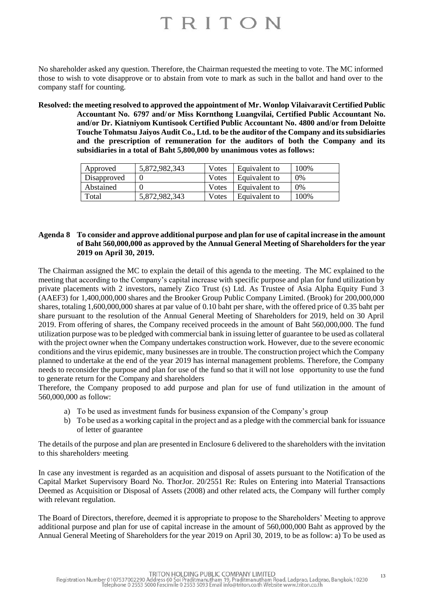No shareholder asked any question. Therefore, the Chairman requested the meeting to vote. The MC informed those to wish to vote disapprove or to abstain from vote to mark as such in the ballot and hand over to the company staff for counting.

**Resolved: the meeting resolved to approved the appointment of Mr. Wonlop Vilaivaravit Certified Public Accountant No. 6797 and/or Miss Kornthong Luangvilai, Certified Public Accountant No. and/or Dr. Kiatniyom Kuntisook Certified Public Accountant No. 4800 and/or from Deloitte Touche Tohmatsu Jaiyos Audit Co., Ltd. to be the auditor of the Company and its subsidiaries and the prescription of remuneration for the auditors of both the Company and its subsidiaries in a total of Baht 5,800,000 by unanimous votes as follows:**

| Approved    | 5,872,982,343 | Votes | Equivalent to | 100%  |
|-------------|---------------|-------|---------------|-------|
| Disapproved |               | Votes | Equivalent to | 0%    |
| Abstained   |               | Votes | Equivalent to | $0\%$ |
| Total       | 5.872.982.343 | Votes | Equivalent to | 100%  |

#### **Agenda 8 To consider and approve additional purpose and plan for use of capital increase in the amount of Baht 560,000,000 as approved by the Annual General Meeting of Shareholders for the year 2019 on April 30, 2019.**

The Chairman assigned the MC to explain the detail of this agenda to the meeting. The MC explained to the meeting that according to the Company's capital increase with specific purpose and plan for fund utilization by private placements with 2 investors, namely Zico Trust (s) Ltd. As Trustee of Asia Alpha Equity Fund 3 (AAEF3) for 1,400,000,000 shares and the Brooker Group Public Company Limited. (Brook) for 200,000,000 shares, totaling 1,600,000,000 shares at par value of 0.10 baht per share, with the offered price of 0.35 baht per share pursuant to the resolution of the Annual General Meeting of Shareholders for 2019, held on 30 April 2019. From offering of shares, the Company received proceeds in the amount of Baht 560,000,000. The fund utilization purpose was to be pledged with commercial bank in issuing letter of guarantee to be used as collateral with the project owner when the Company undertakes construction work. However, due to the severe economic conditions and the virus epidemic, many businesses are in trouble. The construction project which the Company planned to undertake at the end of the year 2019 has internal management problems. Therefore, the Company needs to reconsider the purpose and plan for use of the fund so that it will not lose opportunity to use the fund to generate return for the Company and shareholders

Therefore, the Company proposed to add purpose and plan for use of fund utilization in the amount of 560,000,000 as follow:

- a) To be used as investment funds for business expansion of the Company's group
- b) To be used as a working capital in the project and as a pledge with the commercial bank for issuance of letter of guarantee

The details of the purpose and plan are presented in Enclosure 6 delivered to the shareholders with the invitation to this shareholders' meeting.

In case any investment is regarded as an acquisition and disposal of assets pursuant to the Notification of the Capital Market Supervisory Board No. ThorJor. 20/2551 Re: Rules on Entering into Material Transactions Deemed as Acquisition or Disposal of Assets (2008) and other related acts, the Company will further comply with relevant regulation.

The Board of Directors, therefore, deemed it is appropriate to propose to the Shareholders' Meeting to approve additional purpose and plan for use of capital increase in the amount of 560,000,000 Baht as approved by the Annual General Meeting of Shareholders for the year 2019 on April 30, 2019, to be as follow: a) To be used as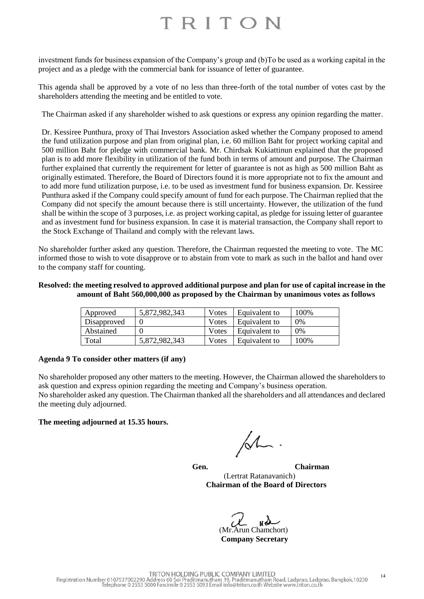investment funds for business expansion of the Company's group and (b)To be used as a working capital in the project and as a pledge with the commercial bank for issuance of letter of guarantee.

This agenda shall be approved by a vote of no less than three-forth of the total number of votes cast by the shareholders attending the meeting and be entitled to vote.

The Chairman asked if any shareholder wished to ask questions or express any opinion regarding the matter.

Dr. Kessiree Punthura, proxy of Thai Investors Association asked whether the Company proposed to amend the fund utilization purpose and plan from original plan, i.e. 60 million Baht for project working capital and 500 million Baht for pledge with commercial bank. Mr. Chirdsak Kukiattinun explained that the proposed plan is to add more flexibility in utilization of the fund both in terms of amount and purpose. The Chairman further explained that currently the requirement for letter of guarantee is not as high as 500 million Baht as originally estimated. Therefore, the Board of Directors found it is more appropriate not to fix the amount and to add more fund utilization purpose, i.e. to be used as investment fund for business expansion. Dr. Kessiree Punthura asked if the Company could specify amount of fund for each purpose. The Chairman replied that the Company did not specify the amount because there is still uncertainty. However, the utilization of the fund shall be within the scope of 3 purposes, i.e. as project working capital, as pledge for issuing letter of guarantee and as investment fund for business expansion. In case it is material transaction, the Company shall report to the Stock Exchange of Thailand and comply with the relevant laws.

No shareholder further asked any question. Therefore, the Chairman requested the meeting to vote. The MC informed those to wish to vote disapprove or to abstain from vote to mark as such in the ballot and hand over to the company staff for counting.

#### **Resolved: the meeting resolved to approved additional purpose and plan for use of capital increase in the amount of Baht 560,000,000 as proposed by the Chairman by unanimous votes as follows**

| Approved    | 5,872,982,343 | Votes | Equivalent to | 100%  |
|-------------|---------------|-------|---------------|-------|
| Disapproved |               | Votes | Equivalent to | $0\%$ |
| Abstained   |               | Votes | Equivalent to | $0\%$ |
| Total       | 5.872.982.343 | Votes | Equivalent to | 100%  |

#### **Agenda 9 To consider other matters (if any)**

No shareholder proposed any other matters to the meeting. However, the Chairman allowed the shareholders to ask question and express opinion regarding the meeting and Company's business operation. No shareholder asked any question. The Chairman thanked all the shareholders and all attendances and declared the meeting duly adjourned.

## **The meeting adjourned at 15.35 hours.**

 $\mathcal{M}$ .

**Gen. Chairman** (Lertrat Ratanavanich) **Chairman of the Board of Directors**

 (Mr.Arun Chamchort) **Company Secretary**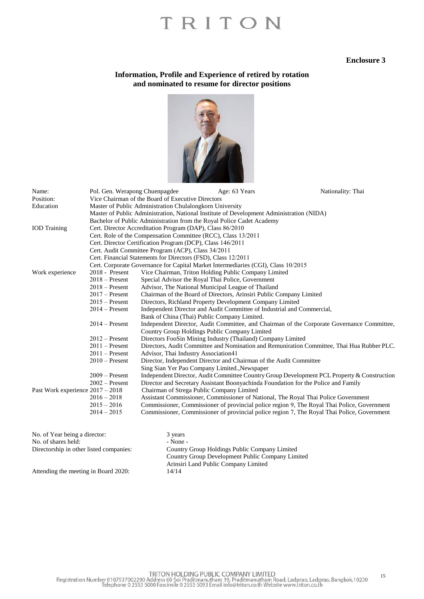#### **Enclosure 3**

#### **Information, Profile and Experience of retired by rotation and nominated to resume for director positions**



| Name:                            |                                                   | Pol. Gen. Werapong Chuenpagdee                                | Age: 63 Years                                                                            | Nationality: Thai                                                                           |  |  |  |
|----------------------------------|---------------------------------------------------|---------------------------------------------------------------|------------------------------------------------------------------------------------------|---------------------------------------------------------------------------------------------|--|--|--|
| Position:                        | Vice Chairman of the Board of Executive Directors |                                                               |                                                                                          |                                                                                             |  |  |  |
| Education                        |                                                   | Master of Public Administration Chulalongkorn University      |                                                                                          |                                                                                             |  |  |  |
|                                  |                                                   |                                                               | Master of Public Administration, National Institute of Development Administration (NIDA) |                                                                                             |  |  |  |
|                                  |                                                   |                                                               | Bachelor of Public Administration from the Royal Police Cadet Academy                    |                                                                                             |  |  |  |
| <b>IOD</b> Training              |                                                   | Cert. Director Accreditation Program (DAP), Class 86/2010     |                                                                                          |                                                                                             |  |  |  |
|                                  |                                                   |                                                               | Cert. Role of the Compensation Committee (RCC), Class 13/2011                            |                                                                                             |  |  |  |
|                                  |                                                   | Cert. Director Certification Program (DCP), Class 146/2011    |                                                                                          |                                                                                             |  |  |  |
|                                  |                                                   | Cert. Audit Committee Program (ACP), Class 34/2011            |                                                                                          |                                                                                             |  |  |  |
|                                  |                                                   | Cert. Financial Statements for Directors (FSD), Class 12/2011 |                                                                                          |                                                                                             |  |  |  |
|                                  |                                                   |                                                               | Cert. Corporate Governance for Capital Market Intermediaries (CGI), Class 10/2015        |                                                                                             |  |  |  |
| Work experience                  | 2018 - Present                                    |                                                               | Vice Chairman, Triton Holding Public Company Limited                                     |                                                                                             |  |  |  |
|                                  | $2018 -$ Present                                  |                                                               | Special Advisor the Royal Thai Police, Government                                        |                                                                                             |  |  |  |
|                                  | $2018$ – Present                                  |                                                               | Advisor, The National Municipal League of Thailand                                       |                                                                                             |  |  |  |
|                                  | $2017$ – Present                                  |                                                               | Chairman of the Board of Directors, Arinsiri Public Company Limited                      |                                                                                             |  |  |  |
|                                  | $2015$ – Present                                  |                                                               | Directors, Richland Property Development Company Limited                                 |                                                                                             |  |  |  |
|                                  | $2014$ – Present                                  |                                                               | Independent Director and Audit Committee of Industrial and Commercial,                   |                                                                                             |  |  |  |
|                                  |                                                   |                                                               | Bank of China (Thai) Public Company Limited.                                             |                                                                                             |  |  |  |
|                                  | $2014 -$ Present                                  |                                                               |                                                                                          | Independent Director, Audit Committee, and Chairman of the Corporate Governance Committee,  |  |  |  |
|                                  |                                                   |                                                               | Country Group Holdings Public Company Limited                                            |                                                                                             |  |  |  |
|                                  | $2012$ – Present                                  |                                                               | Directors FooSin Mining Industry (Thailand) Company Limited                              |                                                                                             |  |  |  |
|                                  | $2011$ – Present                                  |                                                               |                                                                                          | Directors, Audit Committee and Nomination and Remuniration Committee, Thai Hua Rubber PLC.  |  |  |  |
|                                  | $2011$ – Present                                  | Advisor, Thai Industry Association41                          |                                                                                          |                                                                                             |  |  |  |
|                                  | $2010$ – Present                                  |                                                               | Director, Independent Director and Chairman of the Audit Committee                       |                                                                                             |  |  |  |
|                                  |                                                   |                                                               | Sing Sian Yer Pao Company Limited., Newspaper                                            |                                                                                             |  |  |  |
|                                  | $2009 -$ Present                                  |                                                               |                                                                                          | Independent Director, Audit Committee Country Group Development PCL Property & Construction |  |  |  |
|                                  | $2002$ – Present                                  |                                                               | Director and Secretary Assistant Boonyachinda Foundation for the Police and Family       |                                                                                             |  |  |  |
| Past Work experience 2017 - 2018 |                                                   |                                                               | Chairman of Strega Public Company Limited                                                |                                                                                             |  |  |  |
|                                  | $2016 - 2018$                                     |                                                               | Assistant Commissioner, Commissioner of National, The Royal Thai Police Government       |                                                                                             |  |  |  |
|                                  | $2015 - 2016$                                     |                                                               |                                                                                          | Commissioner, Commissioner of provincial police region 9, The Royal Thai Police, Government |  |  |  |
|                                  | $2014 - 2015$                                     |                                                               |                                                                                          | Commissioner, Commissioner of provincial police region 7, The Royal Thai Police, Government |  |  |  |
|                                  |                                                   |                                                               |                                                                                          |                                                                                             |  |  |  |
| No. of Year being a director:    |                                                   | 3 years                                                       |                                                                                          |                                                                                             |  |  |  |

| 3 years                                          |
|--------------------------------------------------|
| - None -                                         |
| Country Group Holdings Public Company Limited    |
| Country Group Development Public Company Limited |
| Arinsiri Land Public Company Limited             |
| 14/14                                            |
|                                                  |

TRITON HOLDING PUBLIC COMPANY LIMITED<br>Registration Number 0107537002290 Address 60 Soi Praditmanutham 19, Praditmanutham Road, Ladprao, Ladprao, Bangkok,10230<br>Telephone 0 2553 5000 Fascimile 0 2553 5093 Email info@triton.c 15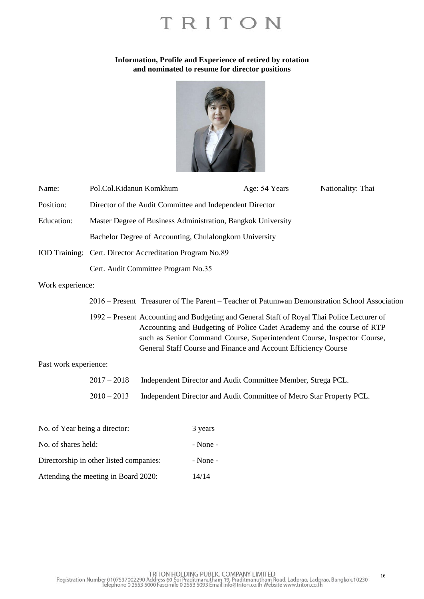#### **Information, Profile and Experience of retired by rotation and nominated to resume for director positions**



| Name:            | Pol.Col.Kidanun Komkhum                                                                       | Age: 54 Years | Nationality: Thai |  |  |
|------------------|-----------------------------------------------------------------------------------------------|---------------|-------------------|--|--|
| Position:        | Director of the Audit Committee and Independent Director                                      |               |                   |  |  |
| Education:       | Master Degree of Business Administration, Bangkok University                                  |               |                   |  |  |
|                  | Bachelor Degree of Accounting, Chulalongkorn University                                       |               |                   |  |  |
|                  | IOD Training: Cert. Director Accreditation Program No.89                                      |               |                   |  |  |
|                  | Cert. Audit Committee Program No.35                                                           |               |                   |  |  |
| Work experience: |                                                                                               |               |                   |  |  |
|                  | 2016 – Present Treasurer of The Parent – Teacher of Patumwan Demonstration School Association |               |                   |  |  |

 1992 – Present Accounting and Budgeting and General Staff of Royal Thai Police Lecturer of Accounting and Budgeting of Police Cadet Academy and the course of RTP such as Senior Command Course, Superintendent Course, Inspector Course, General Staff Course and Finance and Account Efficiency Course

Past work experience:

2017 – 2018 Independent Director and Audit Committee Member, Strega PCL. 2010 – 2013 Independent Director and Audit Committee of Metro Star Property PCL.

| No. of Year being a director:           | 3 years      |
|-----------------------------------------|--------------|
| No. of shares held:                     | $-$ None $-$ |
| Directorship in other listed companies: | $-$ None $-$ |
| Attending the meeting in Board 2020:    | 14/14        |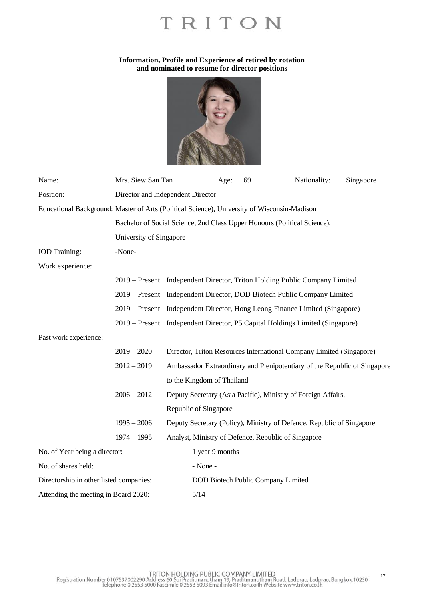### **Information, Profile and Experience of retired by rotation and nominated to resume for director positions**



| Name:                                   | Mrs. Siew San Tan                                                                           |                                                                          | Age:                               | 69 | Nationality:                                                                 | Singapore |  |
|-----------------------------------------|---------------------------------------------------------------------------------------------|--------------------------------------------------------------------------|------------------------------------|----|------------------------------------------------------------------------------|-----------|--|
| Position:                               | Director and Independent Director                                                           |                                                                          |                                    |    |                                                                              |           |  |
|                                         | Educational Background: Master of Arts (Political Science), University of Wisconsin-Madison |                                                                          |                                    |    |                                                                              |           |  |
|                                         |                                                                                             | Bachelor of Social Science, 2nd Class Upper Honours (Political Science), |                                    |    |                                                                              |           |  |
|                                         | University of Singapore                                                                     |                                                                          |                                    |    |                                                                              |           |  |
| <b>IOD</b> Training:                    | -None-                                                                                      |                                                                          |                                    |    |                                                                              |           |  |
| Work experience:                        |                                                                                             |                                                                          |                                    |    |                                                                              |           |  |
|                                         |                                                                                             |                                                                          |                                    |    | 2019 – Present Independent Director, Triton Holding Public Company Limited   |           |  |
|                                         |                                                                                             |                                                                          |                                    |    | 2019 – Present Independent Director, DOD Biotech Public Company Limited      |           |  |
|                                         |                                                                                             |                                                                          |                                    |    | 2019 – Present Independent Director, Hong Leong Finance Limited (Singapore)  |           |  |
|                                         |                                                                                             |                                                                          |                                    |    | 2019 – Present Independent Director, P5 Capital Holdings Limited (Singapore) |           |  |
| Past work experience:                   |                                                                                             |                                                                          |                                    |    |                                                                              |           |  |
|                                         | $2019 - 2020$                                                                               |                                                                          |                                    |    | Director, Triton Resources International Company Limited (Singapore)         |           |  |
|                                         | $2012 - 2019$                                                                               |                                                                          |                                    |    | Ambassador Extraordinary and Plenipotentiary of the Republic of Singapore    |           |  |
|                                         |                                                                                             | to the Kingdom of Thailand                                               |                                    |    |                                                                              |           |  |
|                                         | $2006 - 2012$                                                                               |                                                                          |                                    |    | Deputy Secretary (Asia Pacific), Ministry of Foreign Affairs,                |           |  |
|                                         |                                                                                             | Republic of Singapore                                                    |                                    |    |                                                                              |           |  |
|                                         | $1995 - 2006$                                                                               |                                                                          |                                    |    | Deputy Secretary (Policy), Ministry of Defence, Republic of Singapore        |           |  |
|                                         | $1974 - 1995$                                                                               |                                                                          |                                    |    | Analyst, Ministry of Defence, Republic of Singapore                          |           |  |
| No. of Year being a director:           |                                                                                             |                                                                          | 1 year 9 months                    |    |                                                                              |           |  |
| No. of shares held:                     |                                                                                             | - None -                                                                 |                                    |    |                                                                              |           |  |
| Directorship in other listed companies: |                                                                                             |                                                                          | DOD Biotech Public Company Limited |    |                                                                              |           |  |
| Attending the meeting in Board 2020:    |                                                                                             |                                                                          | 5/14                               |    |                                                                              |           |  |

TRITON HOLDING PUBLIC COMPANY LIMITED<br>Registration Number 0107537002290 Address 60 Soi Praditmanutham 19, Praditmanutham Road, Ladprao, Ladprao, Bangkok,10230<br>Telephone 0 2553 5000 Fascimile 0 2553 5093 Email info@triton.c 17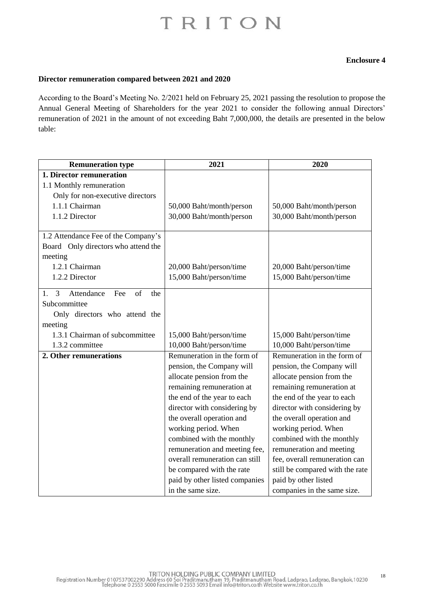## **Enclosure 4**

#### **Director remuneration compared between 2021 and 2020**

According to the Board's Meeting No. 2/2021 held on February 25, 2021 passing the resolution to propose the Annual General Meeting of Shareholders for the year 2021 to consider the following annual Directors' remuneration of 2021 in the amount of not exceeding Baht 7,000,000, the details are presented in the below table:

| <b>Remuneration type</b>                          | 2021                           | 2020                            |
|---------------------------------------------------|--------------------------------|---------------------------------|
| 1. Director remuneration                          |                                |                                 |
| 1.1 Monthly remuneration                          |                                |                                 |
| Only for non-executive directors                  |                                |                                 |
| 1.1.1 Chairman                                    | 50,000 Baht/month/person       | 50,000 Baht/month/person        |
| 1.1.2 Director                                    | 30,000 Baht/month/person       | 30,000 Baht/month/person        |
|                                                   |                                |                                 |
| 1.2 Attendance Fee of the Company's               |                                |                                 |
| Board Only directors who attend the               |                                |                                 |
| meeting                                           |                                |                                 |
| 1.2.1 Chairman                                    | 20,000 Baht/person/time        | 20,000 Baht/person/time         |
| 1.2.2 Director                                    | 15,000 Baht/person/time        | 15,000 Baht/person/time         |
| 3<br>Attendance<br>Fee<br>$\sigma$ f<br>1.<br>the |                                |                                 |
| Subcommittee                                      |                                |                                 |
| Only directors who attend the                     |                                |                                 |
| meeting                                           |                                |                                 |
| 1.3.1 Chairman of subcommittee                    | 15,000 Baht/person/time        | 15,000 Baht/person/time         |
| 1.3.2 committee                                   | 10,000 Baht/person/time        | 10,000 Baht/person/time         |
| 2. Other remunerations                            | Remuneration in the form of    | Remuneration in the form of     |
|                                                   | pension, the Company will      | pension, the Company will       |
|                                                   | allocate pension from the      | allocate pension from the       |
|                                                   | remaining remuneration at      | remaining remuneration at       |
|                                                   | the end of the year to each    | the end of the year to each     |
|                                                   | director with considering by   | director with considering by    |
|                                                   | the overall operation and      | the overall operation and       |
|                                                   | working period. When           | working period. When            |
|                                                   | combined with the monthly      | combined with the monthly       |
|                                                   | remuneration and meeting fee,  | remuneration and meeting        |
|                                                   | overall remuneration can still | fee, overall remuneration can   |
|                                                   | be compared with the rate      | still be compared with the rate |
|                                                   | paid by other listed companies | paid by other listed            |
|                                                   | in the same size.              | companies in the same size.     |

TRITON HOLDING PUBLIC COMPANY LIMITED<br>Registration Number 0107537002290 Address 60 Soi Praditmanutham 19, Praditmanutham Road, Ladprao, Ladprao, Bangkok,10230<br>Telephone 0 2553 5000 Fascimile 0 2553 5093 Email info@triton.c 18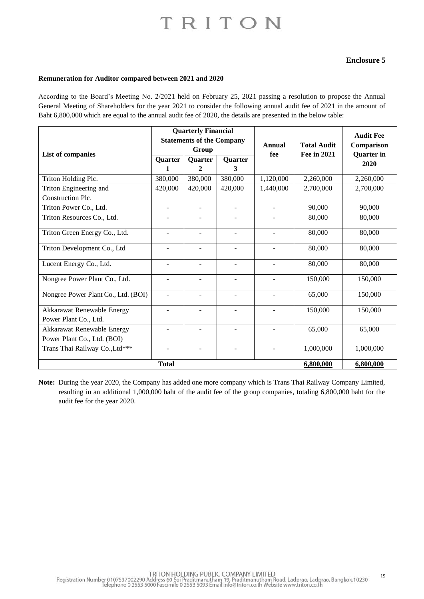### **Enclosure 5**

#### **Remuneration for Auditor compared between 2021 and 2020**

According to the Board's Meeting No. 2/2021 held on February 25, 2021 passing a resolution to propose the Annual General Meeting of Shareholders for the year 2021 to consider the following annual audit fee of 2021 in the amount of Baht 6,800,000 which are equal to the annual audit fee of 2020, the details are presented in the below table:

|                                                           | <b>Quarterly Financial</b><br><b>Statements of the Company</b><br>Group |                     |                          | Annual                   | <b>Total Audit</b> | <b>Audit Fee</b><br>Comparison |
|-----------------------------------------------------------|-------------------------------------------------------------------------|---------------------|--------------------------|--------------------------|--------------------|--------------------------------|
| List of companies                                         | <b>Quarter</b><br>1                                                     | <b>Quarter</b><br>2 | <b>Quarter</b><br>3      | fee                      | Fee in 2021        | <b>Quarter</b> in<br>2020      |
| Triton Holding Plc.                                       | 380,000                                                                 | 380,000             | 380,000                  | 1,120,000                | 2,260,000          | 2,260,000                      |
| Triton Engineering and                                    | 420,000                                                                 | 420,000             | 420,000                  | 1,440,000                | 2,700,000          | 2,700,000                      |
| Construction Plc.                                         |                                                                         |                     |                          |                          |                    |                                |
| Triton Power Co., Ltd.                                    | $\overline{\phantom{a}}$                                                | $\blacksquare$      | $\blacksquare$           | $\overline{\phantom{a}}$ | 90,000             | 90,000                         |
| Triton Resources Co., Ltd.                                | $\overline{a}$                                                          |                     |                          |                          | 80,000             | 80,000                         |
| Triton Green Energy Co., Ltd.                             | $\overline{a}$                                                          |                     | $\overline{a}$           | $\overline{a}$           | 80,000             | 80,000                         |
| Triton Development Co., Ltd                               | $\overline{\phantom{a}}$                                                |                     | $\blacksquare$           | $\blacksquare$           | 80,000             | 80,000                         |
| Lucent Energy Co., Ltd.                                   | $\overline{\phantom{a}}$                                                | ۰                   | $\overline{\phantom{a}}$ | $\overline{\phantom{a}}$ | 80,000             | 80,000                         |
| Nongree Power Plant Co., Ltd.                             | $\overline{\phantom{0}}$                                                |                     | $\overline{\phantom{a}}$ | $\overline{\phantom{a}}$ | 150,000            | 150,000                        |
| Nongree Power Plant Co., Ltd. (BOI)                       | $\overline{\phantom{a}}$                                                |                     | $\overline{\phantom{a}}$ | $\overline{\phantom{a}}$ | 65,000             | 150,000                        |
| Akkarawat Renewable Energy<br>Power Plant Co., Ltd.       | ÷,                                                                      |                     | $\overline{\phantom{a}}$ | $\overline{\phantom{a}}$ | 150,000            | 150,000                        |
| Akkarawat Renewable Energy<br>Power Plant Co., Ltd. (BOI) | $\overline{a}$                                                          |                     | $\overline{\phantom{a}}$ | $\overline{\phantom{a}}$ | 65,000             | 65,000                         |
| Trans Thai Railway Co., Ltd***                            | $\overline{a}$                                                          |                     |                          | $\overline{\phantom{a}}$ | 1,000,000          | 1,000,000                      |
| <b>Total</b><br>6,800,000                                 |                                                                         |                     |                          |                          |                    | 6,800,000                      |

**Note:** During the year 2020, the Company has added one more company which is Trans Thai Railway Company Limited, resulting in an additional 1,000,000 baht of the audit fee of the group companies, totaling 6,800,000 baht for the audit fee for the year 2020.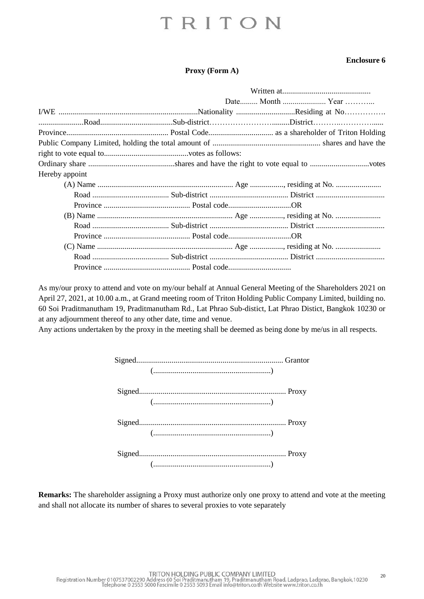### **Enclosure 6**

#### **Proxy (Form A)**

|                |  | Date Month  Year |
|----------------|--|------------------|
|                |  |                  |
|                |  |                  |
|                |  |                  |
|                |  |                  |
|                |  |                  |
|                |  |                  |
| Hereby appoint |  |                  |
|                |  |                  |
|                |  |                  |
|                |  |                  |
|                |  |                  |
|                |  |                  |
|                |  |                  |
|                |  |                  |
|                |  |                  |
|                |  |                  |

As my/our proxy to attend and vote on my/our behalf at Annual General Meeting of the Shareholders 2021 on April 27, 2021, at 10.00 a.m., at Grand meeting room of Triton Holding Public Company Limited, building no. 60 Soi Praditmanutham 19, Praditmanutham Rd., Lat Phrao Sub-distict, Lat Phrao Distict, Bangkok 10230 or at any adjournment thereof to any other date, time and venue.

Any actions undertaken by the proxy in the meeting shall be deemed as being done by me/us in all respects.

| () |  |
|----|--|
|    |  |
| (  |  |
|    |  |
|    |  |
|    |  |
| (  |  |

**Remarks:** The shareholder assigning a Proxy must authorize only one proxy to attend and vote at the meeting and shall not allocate its number of shares to several proxies to vote separately

TRITON HOLDING PUBLIC COMPANY LIMITED<br>Registration Number 0107537002290 Address 60 Soi Praditmanutham 19, Praditmanutham Road, Ladprao, Ladprao, Bangkok,10230<br>Telephone 0 2553 5000 Fascimile 0 2553 5093 Email info@triton.c  $20$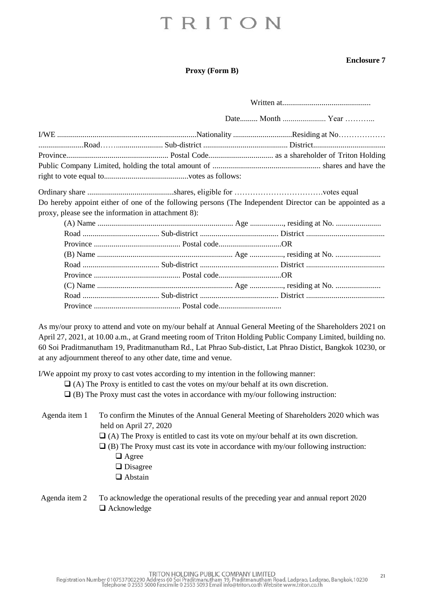### **Enclosure 7**

#### **Proxy (Form B)**

|                                                     | Do hereby appoint either of one of the following persons (The Independent Director can be appointed as a |
|-----------------------------------------------------|----------------------------------------------------------------------------------------------------------|
| proxy, please see the information in attachment 8): |                                                                                                          |
|                                                     |                                                                                                          |
|                                                     |                                                                                                          |
|                                                     |                                                                                                          |
|                                                     |                                                                                                          |
|                                                     |                                                                                                          |
|                                                     |                                                                                                          |
|                                                     |                                                                                                          |
|                                                     |                                                                                                          |
|                                                     |                                                                                                          |

As my/our proxy to attend and vote on my/our behalf at Annual General Meeting of the Shareholders 2021 on April 27, 2021, at 10.00 a.m., at Grand meeting room of Triton Holding Public Company Limited, building no. 60 Soi Praditmanutham 19, Praditmanutham Rd., Lat Phrao Sub-distict, Lat Phrao Distict, Bangkok 10230, or at any adjournment thereof to any other date, time and venue.

I/We appoint my proxy to cast votes according to my intention in the following manner:

- $\Box$  (A) The Proxy is entitled to cast the votes on my/our behalf at its own discretion.
- ❑ (B) The Proxy must cast the votes in accordance with my/our following instruction:
- Agenda item 1 To confirm the Minutes of the Annual General Meeting of Shareholders 2020 which was held on April 27, 2020
	- $\Box$  (A) The Proxy is entitled to cast its vote on my/our behalf at its own discretion.
	- $\Box$  (B) The Proxy must cast its vote in accordance with my/our following instruction:
		- ❑ Agree
		- ❑ Disagree
		- ❑ Abstain
- Agenda item 2 To acknowledge the operational results of the preceding year and annual report 2020 ❑ Acknowledge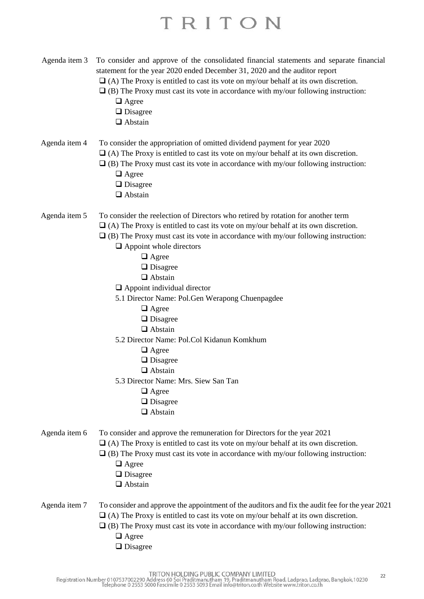- Agenda item 3 To consider and approve of the consolidated financial statements and separate financial statement for the year 2020 ended December 31, 2020 and the auditor report
	- ❑ (A) The Proxy is entitled to cast its vote on my/our behalf at its own discretion.
	- $\Box$  (B) The Proxy must cast its vote in accordance with my/our following instruction:
		- ❑ Agree
		- ❑ Disagree
		- ❑ Abstain

## Agenda item 4 To consider the appropriation of omitted dividend payment for year 2020

- $\Box$  (A) The Proxy is entitled to cast its vote on my/our behalf at its own discretion.
- $\Box$  (B) The Proxy must cast its vote in accordance with my/our following instruction: ❑ Agree
	- ❑ Disagree
	- ❑ Abstain

#### Agenda item 5 To consider the reelection of Directors who retired by rotation for another term

- $\Box$  (A) The Proxy is entitled to cast its vote on my/our behalf at its own discretion.
- $\Box$  (B) The Proxy must cast its vote in accordance with my/our following instruction:
	- ❑ Appoint whole directors
		- ❑ Agree
		- ❑ Disagree
		- ❑ Abstain
	- ❑ Appoint individual director
	- 5.1 Director Name: Pol.Gen Werapong Chuenpagdee
		- ❑ Agree
		- ❑ Disagree
		- ❑ Abstain
	- 5.2 Director Name: Pol.Col Kidanun Komkhum
		- ❑ Agree
		- ❑ Disagree
		- ❑ Abstain
	- 5.3 Director Name: Mrs. Siew San Tan
		- ❑ Agree
		- ❑ Disagree
		- ❑ Abstain
- Agenda item 6 To consider and approve the remuneration for Directors for the year 2021
	- $\Box$  (A) The Proxy is entitled to cast its vote on my/our behalf at its own discretion.
	- $\Box$  (B) The Proxy must cast its vote in accordance with my/our following instruction:
		- ❑ Agree
		- ❑ Disagree
		- ❑ Abstain

### Agenda item 7 To consider and approve the appointment of the auditors and fix the audit fee for the year 2021  $\Box$  (A) The Proxy is entitled to cast its vote on my/our behalf at its own discretion.

- $\Box$  (B) The Proxy must cast its vote in accordance with my/our following instruction:
	- ❑ Agree
	- ❑ Disagree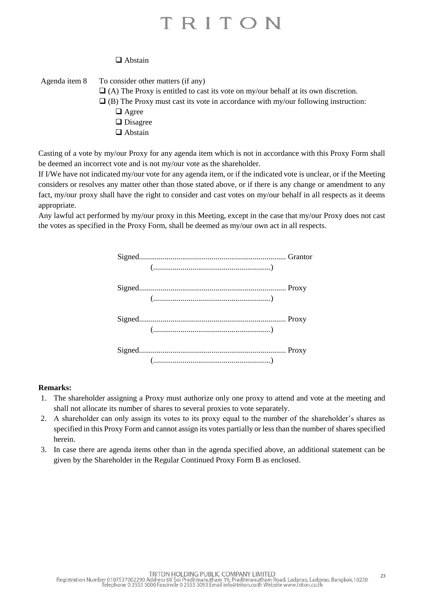## ❑ Abstain

Agenda item 8 To consider other matters (if any)  $\Box$  (A) The Proxy is entitled to cast its vote on my/our behalf at its own discretion.  $\Box$  (B) The Proxy must cast its vote in accordance with my/our following instruction: ❑ Agree ❑ Disagree ❑ Abstain

Casting of a vote by my/our Proxy for any agenda item which is not in accordance with this Proxy Form shall be deemed an incorrect vote and is not my/our vote as the shareholder.

If I/We have not indicated my/our vote for any agenda item, or if the indicated vote is unclear, or if the Meeting considers or resolves any matter other than those stated above, or if there is any change or amendment to any fact, my/our proxy shall have the right to consider and cast votes on my/our behalf in all respects as it deems appropriate.

Any lawful act performed by my/our proxy in this Meeting, except in the case that my/our Proxy does not cast the votes as specified in the Proxy Form, shall be deemed as my/our own act in all respects.

| (  |  |
|----|--|
|    |  |
|    |  |
|    |  |
| () |  |

#### **Remarks:**

- 1. The shareholder assigning a Proxy must authorize only one proxy to attend and vote at the meeting and shall not allocate its number of shares to several proxies to vote separately.
- 2. A shareholder can only assign its votes to its proxy equal to the number of the shareholder's shares as specified in this Proxy Form and cannot assign its votes partially or less than the number of shares specified herein.
- 3. In case there are agenda items other than in the agenda specified above, an additional statement can be given by the Shareholder in the Regular Continued Proxy Form B as enclosed.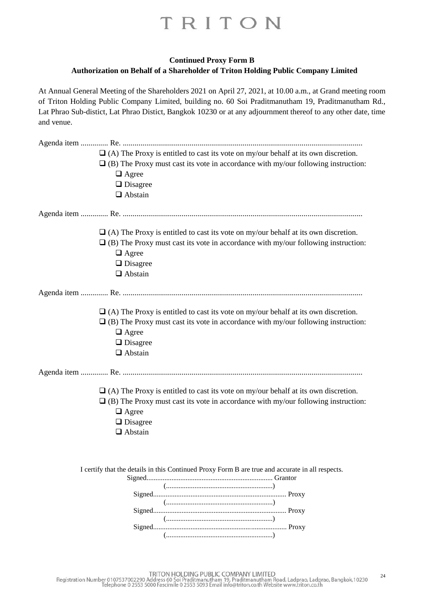## **Continued Proxy Form B Authorization on Behalf of a Shareholder of Triton Holding Public Company Limited**

At Annual General Meeting of the Shareholders 2021 on April 27, 2021, at 10.00 a.m., at Grand meeting room of Triton Holding Public Company Limited, building no. 60 Soi Praditmanutham 19, Praditmanutham Rd., Lat Phrao Sub-distict, Lat Phrao Distict, Bangkok 10230 or at any adjournment thereof to any other date, time and venue.

| $\Box$ (A) The Proxy is entitled to cast its vote on my/our behalf at its own discretion.<br>$\Box$ (B) The Proxy must cast its vote in accordance with my/our following instruction:<br>$\Box$ Agree<br>$\Box$ Disagree<br>$\Box$ Abstain |
|--------------------------------------------------------------------------------------------------------------------------------------------------------------------------------------------------------------------------------------------|
|                                                                                                                                                                                                                                            |
| $\Box$ (A) The Proxy is entitled to cast its vote on my/our behalf at its own discretion.<br>$\Box$ (B) The Proxy must cast its vote in accordance with my/our following instruction:<br>$\Box$ Agree<br>$\Box$ Disagree<br>$\Box$ Abstain |
|                                                                                                                                                                                                                                            |
| $\Box$ (A) The Proxy is entitled to cast its vote on my/our behalf at its own discretion.<br>$\Box$ (B) The Proxy must cast its vote in accordance with my/our following instruction:<br>$\Box$ Agree<br>$\Box$ Disagree<br>$\Box$ Abstain |
|                                                                                                                                                                                                                                            |
| $\Box$ (A) The Proxy is entitled to cast its vote on my/our behalf at its own discretion.<br>$\Box$ (B) The Proxy must cast its vote in accordance with my/our following instruction:<br>$\Box$ Agree<br>$\Box$ Disagree<br>$\Box$ Abstain |
| I certify that the details in this Continued Proxy Form B are true and accurate in all respects.                                                                                                                                           |
|                                                                                                                                                                                                                                            |
|                                                                                                                                                                                                                                            |
| (                                                                                                                                                                                                                                          |
|                                                                                                                                                                                                                                            |
|                                                                                                                                                                                                                                            |

TRITON HOLDING PUBLIC COMPANY LIMITED<br>Registration Number 0107537002290 Address 60 Soi Praditmanutham 19, Praditmanutham Road, Ladprao, Ladprao, Bangkok,10230<br>Telephone 0 2553 5000 Fascimile 0 2553 5093 Email info@triton.c  $24$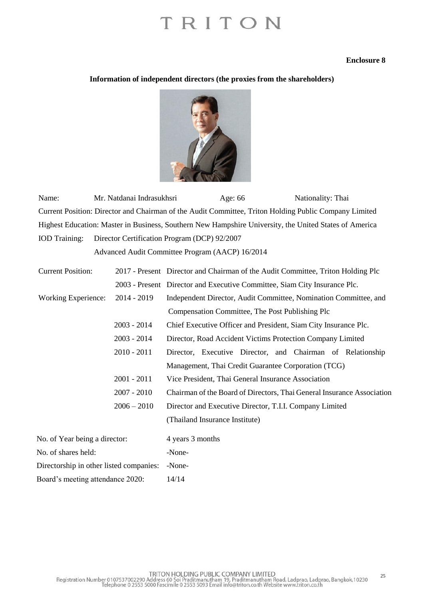#### **Enclosure 8**

### **Information of independent directors (the proxies from the shareholders)**



Name: Mr. Natdanai Indrasukhsri Age: 66 Nationality: Thai Current Position: Director and Chairman of the Audit Committee, Triton Holding Public Company Limited Highest Education: Master in Business, Southern New Hampshire University, the United States of America IOD Training: Director Certification Program (DCP) 92/2007

Advanced Audit Committee Program (AACP) 16/2014

| <b>Current Position:</b>                |               | 2017 - Present Director and Chairman of the Audit Committee, Triton Holding Plc                                              |  |  |  |  |
|-----------------------------------------|---------------|------------------------------------------------------------------------------------------------------------------------------|--|--|--|--|
|                                         |               | 2003 - Present Director and Executive Committee, Siam City Insurance Plc.                                                    |  |  |  |  |
| Working Experience:                     | $2014 - 2019$ | Independent Director, Audit Committee, Nomination Committee, and                                                             |  |  |  |  |
|                                         |               | Compensation Committee, The Post Publishing Plc                                                                              |  |  |  |  |
|                                         | $2003 - 2014$ | Chief Executive Officer and President, Siam City Insurance Plc.                                                              |  |  |  |  |
|                                         | $2003 - 2014$ | Director, Road Accident Victims Protection Company Limited                                                                   |  |  |  |  |
|                                         | $2010 - 2011$ | Director, Executive Director, and Chairman of Relationship                                                                   |  |  |  |  |
| $2001 - 2011$<br>$2007 - 2010$          |               | Management, Thai Credit Guarantee Corporation (TCG)                                                                          |  |  |  |  |
|                                         |               | Vice President, Thai General Insurance Association<br>Chairman of the Board of Directors, Thai General Insurance Association |  |  |  |  |
|                                         |               |                                                                                                                              |  |  |  |  |
|                                         |               | (Thailand Insurance Institute)                                                                                               |  |  |  |  |
| No. of Year being a director:           |               | 4 years 3 months                                                                                                             |  |  |  |  |
| No. of shares held:                     |               | -None-                                                                                                                       |  |  |  |  |
| Directorship in other listed companies: |               | -None-                                                                                                                       |  |  |  |  |
| Board's meeting attendance 2020:        |               | 14/14                                                                                                                        |  |  |  |  |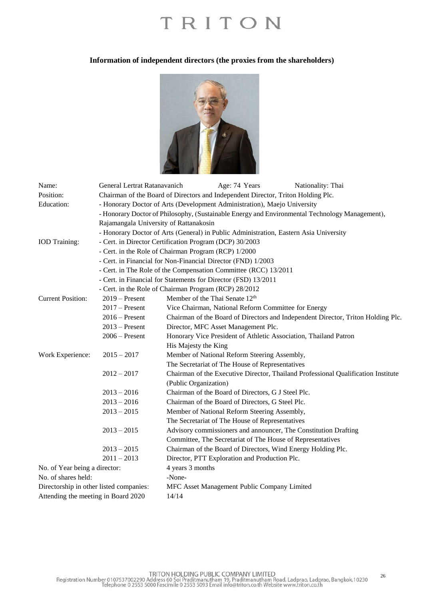#### **Information of independent directors (the proxies from the shareholders)**



| Name:                                   | General Lertrat Ratanavanich                                                                   |                       | Age: 74 Years                                              | Nationality: Thai                                                                 |  |  |
|-----------------------------------------|------------------------------------------------------------------------------------------------|-----------------------|------------------------------------------------------------|-----------------------------------------------------------------------------------|--|--|
| Position:                               | Chairman of the Board of Directors and Independent Director, Triton Holding Plc.               |                       |                                                            |                                                                                   |  |  |
| Education:                              | - Honorary Doctor of Arts (Development Administration), Maejo University                       |                       |                                                            |                                                                                   |  |  |
|                                         | - Honorary Doctor of Philosophy, (Sustainable Energy and Environmental Technology Management), |                       |                                                            |                                                                                   |  |  |
|                                         | Rajamangala University of Rattanakosin                                                         |                       |                                                            |                                                                                   |  |  |
|                                         | - Honorary Doctor of Arts (General) in Public Administration, Eastern Asia University          |                       |                                                            |                                                                                   |  |  |
| <b>IOD</b> Training:                    | - Cert. in Director Certification Program (DCP) 30/2003                                        |                       |                                                            |                                                                                   |  |  |
|                                         | - Cert. in the Role of Chairman Program (RCP) 1/2000                                           |                       |                                                            |                                                                                   |  |  |
|                                         | - Cert. in Financial for Non-Financial Director (FND) 1/2003                                   |                       |                                                            |                                                                                   |  |  |
|                                         | - Cert. in The Role of the Compensation Committee (RCC) 13/2011                                |                       |                                                            |                                                                                   |  |  |
|                                         | - Cert. in Financial for Statements for Director (FSD) 13/2011                                 |                       |                                                            |                                                                                   |  |  |
|                                         | - Cert. in the Role of Chairman Program (RCP) 28/2012                                          |                       |                                                            |                                                                                   |  |  |
| <b>Current Position:</b>                | $2019$ – Present                                                                               |                       | Member of the Thai Senate 12 <sup>th</sup>                 |                                                                                   |  |  |
|                                         | $2017$ – Present                                                                               |                       | Vice Chairman, National Reform Committee for Energy        |                                                                                   |  |  |
|                                         | $2016$ – Present                                                                               |                       |                                                            | Chairman of the Board of Directors and Independent Director, Triton Holding Plc.  |  |  |
|                                         | $2013$ – Present                                                                               |                       | Director, MFC Asset Management Plc.                        |                                                                                   |  |  |
|                                         | $2006 -$ Present                                                                               |                       |                                                            | Honorary Vice President of Athletic Association, Thailand Patron                  |  |  |
|                                         |                                                                                                | His Majesty the King  |                                                            |                                                                                   |  |  |
| Work Experience:                        | $2015 - 2017$                                                                                  |                       | Member of National Reform Steering Assembly,               |                                                                                   |  |  |
|                                         |                                                                                                |                       | The Secretariat of The House of Representatives            |                                                                                   |  |  |
|                                         | $2012 - 2017$                                                                                  |                       |                                                            | Chairman of the Executive Director, Thailand Professional Qualification Institute |  |  |
|                                         |                                                                                                | (Public Organization) |                                                            |                                                                                   |  |  |
|                                         | $2013 - 2016$                                                                                  |                       | Chairman of the Board of Directors, G J Steel Plc.         |                                                                                   |  |  |
|                                         | $2013 - 2016$                                                                                  |                       | Chairman of the Board of Directors, G Steel Plc.           |                                                                                   |  |  |
|                                         | $2013 - 2015$                                                                                  |                       | Member of National Reform Steering Assembly,               |                                                                                   |  |  |
|                                         |                                                                                                |                       | The Secretariat of The House of Representatives            |                                                                                   |  |  |
|                                         | $2013 - 2015$                                                                                  |                       |                                                            | Advisory commissioners and announcer, The Constitution Drafting                   |  |  |
|                                         |                                                                                                |                       | Committee, The Secretariat of The House of Representatives |                                                                                   |  |  |
|                                         | $2013 - 2015$                                                                                  |                       |                                                            | Chairman of the Board of Directors, Wind Energy Holding Plc.                      |  |  |
|                                         | $2011 - 2013$                                                                                  |                       | Director, PTT Exploration and Production Plc.              |                                                                                   |  |  |
| No. of Year being a director:           |                                                                                                | 4 years 3 months      |                                                            |                                                                                   |  |  |
| No. of shares held:                     |                                                                                                | -None-                |                                                            |                                                                                   |  |  |
| Directorship in other listed companies: |                                                                                                |                       | MFC Asset Management Public Company Limited                |                                                                                   |  |  |
| Attending the meeting in Board 2020     |                                                                                                | 14/14                 |                                                            |                                                                                   |  |  |

26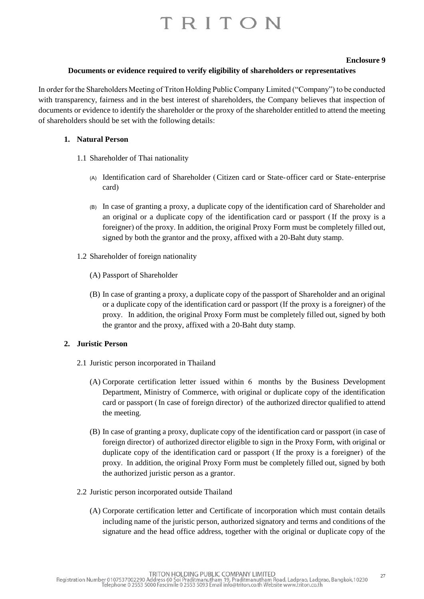#### **Enclosure 9**

#### **Documents or evidence required to verify eligibility of shareholders or representatives**

In order for the Shareholders Meeting of Triton Holding Public Company Limited ("Company") to be conducted with transparency, fairness and in the best interest of shareholders, the Company believes that inspection of documents or evidence to identify the shareholder or the proxy of the shareholder entitled to attend the meeting of shareholders should be set with the following details:

#### **1. Natural Person**

- 1.1 Shareholder of Thai nationality
	- (A) Identification card of Shareholder (Citizen card or State-officer card or State-enterprise card)
	- (B) In case of granting a proxy, a duplicate copy of the identification card of Shareholder and an original or a duplicate copy of the identification card or passport (If the proxy is a foreigner) of the proxy. In addition, the original Proxy Form must be completely filled out, signed by both the grantor and the proxy, affixed with a 20-Baht duty stamp.
- 1.2 Shareholder of foreign nationality
	- (A) Passport of Shareholder
	- (B) In case of granting a proxy, a duplicate copy of the passport of Shareholder and an original or a duplicate copy of the identification card or passport (If the proxy is a foreigner) of the proxy. In addition, the original Proxy Form must be completely filled out, signed by both the grantor and the proxy, affixed with a 20-Baht duty stamp.

## **2. Juristic Person**

- 2.1 Juristic person incorporated in Thailand
	- (A) Corporate certification letter issued within 6 months by the Business Development Department, Ministry of Commerce, with original or duplicate copy of the identification card or passport (In case of foreign director) of the authorized director qualified to attend the meeting.
	- (B) In case of granting a proxy, duplicate copy of the identification card or passport (in case of foreign director) of authorized director eligible to sign in the Proxy Form, with original or duplicate copy of the identification card or passport (If the proxy is a foreigner) of the proxy. In addition, the original Proxy Form must be completely filled out, signed by both the authorized juristic person as a grantor.
- 2.2 Juristic person incorporated outside Thailand
	- (A) Corporate certification letter and Certificate of incorporation which must contain details including name of the juristic person, authorized signatory and terms and conditions of the signature and the head office address, together with the original or duplicate copy of the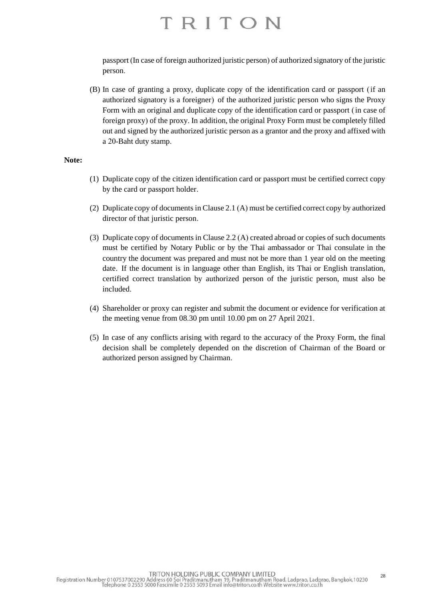passport (In case of foreign authorized juristic person) of authorized signatory of the juristic person.

(B) In case of granting a proxy, duplicate copy of the identification card or passport (if an authorized signatory is a foreigner) of the authorized juristic person who signs the Proxy Form with an original and duplicate copy of the identification card or passport (in case of foreign proxy) of the proxy. In addition, the original Proxy Form must be completely filled out and signed by the authorized juristic person as a grantor and the proxy and affixed with a 20-Baht duty stamp.

#### **Note:**

- (1) Duplicate copy of the citizen identification card or passport must be certified correct copy by the card or passport holder.
- (2) Duplicate copy of documents in Clause 2.1 (A) must be certified correct copy by authorized director of that juristic person.
- (3) Duplicate copy of documents in Clause 2.2 (A) created abroad or copies of such documents must be certified by Notary Public or by the Thai ambassador or Thai consulate in the country the document was prepared and must not be more than 1 year old on the meeting date. If the document is in language other than English, its Thai or English translation, certified correct translation by authorized person of the juristic person, must also be included.
- (4) Shareholder or proxy can register and submit the document or evidence for verification at the meeting venue from 08.30 pm until 10.00 pm on 27 April 2021.
- (5) In case of any conflicts arising with regard to the accuracy of the Proxy Form, the final decision shall be completely depended on the discretion of Chairman of the Board or authorized person assigned by Chairman.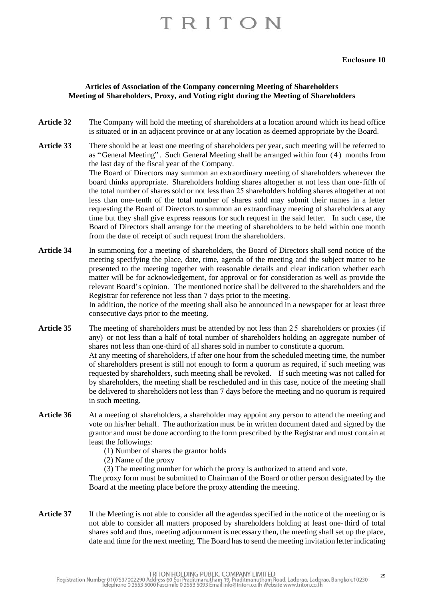#### **Articles of Association of the Company concerning Meeting of Shareholders Meeting of Shareholders, Proxy, and Voting right during the Meeting of Shareholders**

- **Article 32** The Company will hold the meeting of shareholders at a location around which its head office is situated or in an adjacent province or at any location as deemed appropriate by the Board.
- **Article 33** There should be at least one meeting of shareholders per year, such meeting will be referred to as "General Meeting". Such General Meeting shall be arranged within four (4) months from the last day of the fiscal year of the Company. The Board of Directors may summon an extraordinary meeting of shareholders whenever the board thinks appropriate. Shareholders holding shares altogether at not less than one-fifth of the total number of shares sold or not less than 25 shareholders holding shares altogether at not less than one-tenth of the total number of shares sold may submit their names in a letter requesting the Board of Directors to summon an extraordinary meeting of shareholders at any time but they shall give express reasons for such request in the said letter. In such case, the Board of Directors shall arrange for the meeting of shareholders to be held within one month from the date of receipt of such request from the shareholders.
- **Article 34** In summoning for a meeting of shareholders, the Board of Directors shall send notice of the meeting specifying the place, date, time, agenda of the meeting and the subject matter to be presented to the meeting together with reasonable details and clear indication whether each matter will be for acknowledgement, for approval or for consideration as well as provide the relevant Board's opinion. The mentioned notice shall be delivered to the shareholders and the Registrar for reference not less than 7 days prior to the meeting. In addition, the notice of the meeting shall also be announced in a newspaper for at least three consecutive days prior to the meeting.
- **Article 35** The meeting of shareholders must be attended by not less than 25 shareholders or proxies (if any) or not less than a half of total number of shareholders holding an aggregate number of shares not less than one-third of all shares sold in number to constitute a quorum. At any meeting of shareholders, if after one hour from the scheduled meeting time, the number of shareholders present is still not enough to form a quorum as required, if such meeting was requested by shareholders, such meeting shall be revoked. If such meeting was not called for by shareholders, the meeting shall be rescheduled and in this case, notice of the meeting shall be delivered to shareholders not less than 7 days before the meeting and no quorum is required in such meeting.
- **Article 36** At a meeting of shareholders, a shareholder may appoint any person to attend the meeting and vote on his/her behalf. The authorization must be in written document dated and signed by the grantor and must be done according to the form prescribed by the Registrar and must contain at least the followings:
	- (1) Number of shares the grantor holds
	- (2) Name of the proxy
	- (3) The meeting number for which the proxy is authorized to attend and vote.

The proxy form must be submitted to Chairman of the Board or other person designated by the Board at the meeting place before the proxy attending the meeting.

**Article 37** If the Meeting is not able to consider all the agendas specified in the notice of the meeting or is not able to consider all matters proposed by shareholders holding at least one-third of total shares sold and thus, meeting adjournment is necessary then, the meeting shall set up the place, date and time for the next meeting. The Board has to send the meeting invitation letter indicating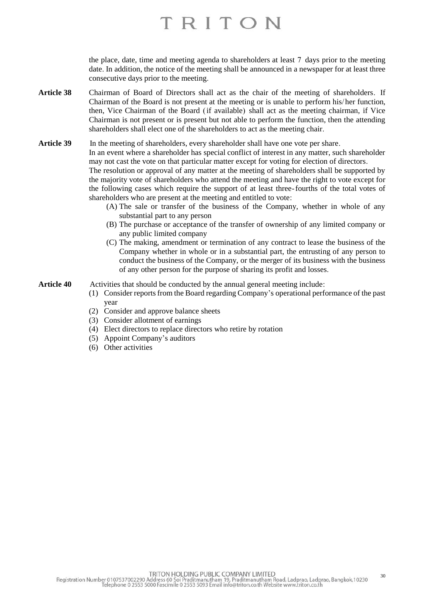the place, date, time and meeting agenda to shareholders at least 7 days prior to the meeting date. In addition, the notice of the meeting shall be announced in a newspaper for at least three consecutive days prior to the meeting.

**Article 38** Chairman of Board of Directors shall act as the chair of the meeting of shareholders. If Chairman of the Board is not present at the meeting or is unable to perform his/her function, then, Vice Chairman of the Board (if available) shall act as the meeting chairman, if Vice Chairman is not present or is present but not able to perform the function, then the attending shareholders shall elect one of the shareholders to act as the meeting chair.

Article 39 In the meeting of shareholders, every shareholder shall have one vote per share.

In an event where a shareholder has special conflict of interest in any matter, such shareholder may not cast the vote on that particular matter except for voting for election of directors.

The resolution or approval of any matter at the meeting of shareholders shall be supported by the majority vote of shareholders who attend the meeting and have the right to vote except for the following cases which require the support of at least three-fourths of the total votes of shareholders who are present at the meeting and entitled to vote:

- (A) The sale or transfer of the business of the Company, whether in whole of any substantial part to any person
- (B) The purchase or acceptance of the transfer of ownership of any limited company or any public limited company
- (C) The making, amendment or termination of any contract to lease the business of the Company whether in whole or in a substantial part, the entrusting of any person to conduct the business of the Company, or the merger of its business with the business of any other person for the purpose of sharing its profit and losses.

**Article 40** Activities that should be conducted by the annual general meeting include:

- (1) Consider reports from the Board regarding Company's operational performance of the past year
- (2) Consider and approve balance sheets
- (3) Consider allotment of earnings
- (4) Elect directors to replace directors who retire by rotation
- (5) Appoint Company's auditors
- (6) Other activities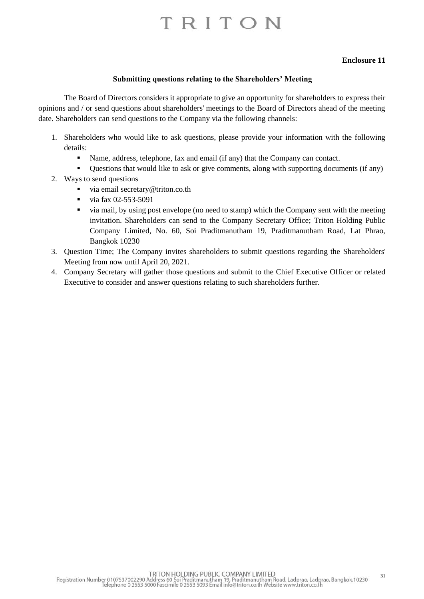### **Enclosure 11**

#### **Submitting questions relating to the Shareholders' Meeting**

The Board of Directors considers it appropriate to give an opportunity for shareholders to express their opinions and / or send questions about shareholders' meetings to the Board of Directors ahead of the meeting date. Shareholders can send questions to the Company via the following channels:

- 1. Shareholders who would like to ask questions, please provide your information with the following details:
	- Name, address, telephone, fax and email (if any) that the Company can contact.
	- Questions that would like to ask or give comments, along with supporting documents (if any)
- 2. Ways to send questions
	- via email [secretary@triton.co.th](mailto:secretary@triton.co.th)
	- $\blacksquare$  via fax 02-553-5091
	- via mail, by using post envelope (no need to stamp) which the Company sent with the meeting invitation. Shareholders can send to the Company Secretary Office; Triton Holding Public Company Limited, No. 60, Soi Praditmanutham 19, Praditmanutham Road, Lat Phrao, Bangkok 10230
- 3. Question Time; The Company invites shareholders to submit questions regarding the Shareholders' Meeting from now until April 20, 2021.
- 4. Company Secretary will gather those questions and submit to the Chief Executive Officer or related Executive to consider and answer questions relating to such shareholders further.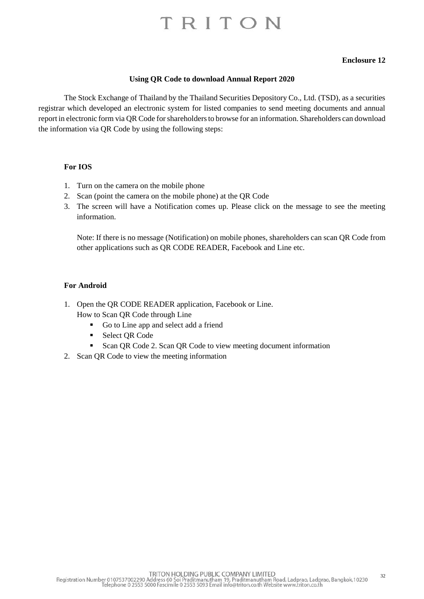#### **Enclosure 12**

#### **Using QR Code to download Annual Report 2020**

The Stock Exchange of Thailand by the Thailand Securities Depository Co., Ltd. (TSD), as a securities registrar which developed an electronic system for listed companies to send meeting documents and annual report in electronic form via QR Code for shareholders to browse for an information. Shareholders can download the information via QR Code by using the following steps:

#### **For IOS**

- 1. Turn on the camera on the mobile phone
- 2. Scan (point the camera on the mobile phone) at the QR Code
- 3. The screen will have a Notification comes up. Please click on the message to see the meeting information.

Note: If there is no message (Notification) on mobile phones, shareholders can scan QR Code from other applications such as QR CODE READER, Facebook and Line etc.

#### **For Android**

- 1. Open the QR CODE READER application, Facebook or Line.
	- How to Scan QR Code through Line
		- Go to Line app and select add a friend
		- Select OR Code
		- Scan QR Code 2. Scan QR Code to view meeting document information
- 2. Scan QR Code to view the meeting information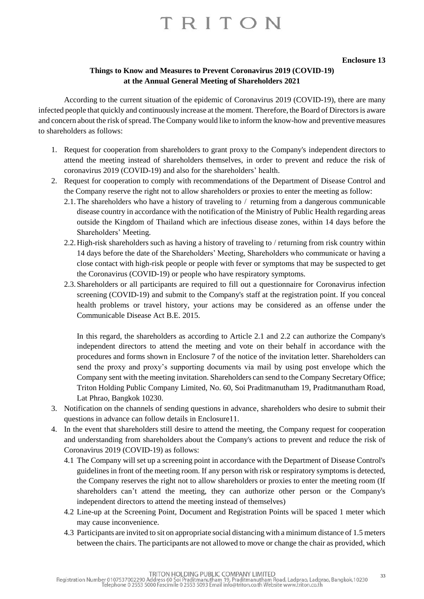#### **Enclosure 13**

## **Things to Know and Measures to Prevent Coronavirus 2019 (COVID-19) at the Annual General Meeting of Shareholders 2021**

According to the current situation of the epidemic of Coronavirus 2019 (COVID-19), there are many infected people that quickly and continuously increase at the moment. Therefore, the Board of Directors is aware and concern about the risk of spread. The Company would like to inform the know-how and preventive measures to shareholders as follows:

- 1. Request for cooperation from shareholders to grant proxy to the Company's independent directors to attend the meeting instead of shareholders themselves, in order to prevent and reduce the risk of coronavirus 2019 (COVID-19) and also for the shareholders' health.
- 2. Request for cooperation to comply with recommendations of the Department of Disease Control and the Company reserve the right not to allow shareholders or proxies to enter the meeting as follow:
	- 2.1.The shareholders who have a history of traveling to / returning from a dangerous communicable disease country in accordance with the notification of the Ministry of Public Health regarding areas outside the Kingdom of Thailand which are infectious disease zones, within 14 days before the Shareholders' Meeting.
	- 2.2.High-risk shareholders such as having a history of traveling to / returning from risk country within 14 days before the date of the Shareholders' Meeting, Shareholders who communicate or having a close contact with high-risk people or people with fever or symptoms that may be suspected to get the Coronavirus (COVID-19) or people who have respiratory symptoms.
	- 2.3.Shareholders or all participants are required to fill out a questionnaire for Coronavirus infection screening (COVID-19) and submit to the Company's staff at the registration point. If you conceal health problems or travel history, your actions may be considered as an offense under the Communicable Disease Act B.E. 2015.

In this regard, the shareholders as according to Article 2.1 and 2.2 can authorize the Company's independent directors to attend the meeting and vote on their behalf in accordance with the procedures and forms shown in Enclosure 7 of the notice of the invitation letter. Shareholders can send the proxy and proxy's supporting documents via mail by using post envelope which the Company sent with the meeting invitation. Shareholders can send to the Company Secretary Office; Triton Holding Public Company Limited, No. 60, Soi Praditmanutham 19, Praditmanutham Road, Lat Phrao, Bangkok 10230.

- 3. Notification on the channels of sending questions in advance, shareholders who desire to submit their questions in advance can follow details in Enclosure11.
- 4. In the event that shareholders still desire to attend the meeting, the Company request for cooperation and understanding from shareholders about the Company's actions to prevent and reduce the risk of Coronavirus 2019 (COVID-19) as follows:
	- 4.1 The Company will set up a screening point in accordance with the Department of Disease Control's guidelines in front of the meeting room. If any person with risk or respiratory symptoms is detected, the Company reserves the right not to allow shareholders or proxies to enter the meeting room (If shareholders can't attend the meeting, they can authorize other person or the Company's independent directors to attend the meeting instead of themselves)
	- 4.2 Line-up at the Screening Point, Document and Registration Points will be spaced 1 meter which may cause inconvenience.
	- 4.3 Participants are invited to sit on appropriate social distancing with a minimum distance of 1.5 meters between the chairs. The participants are not allowed to move or change the chair as provided, which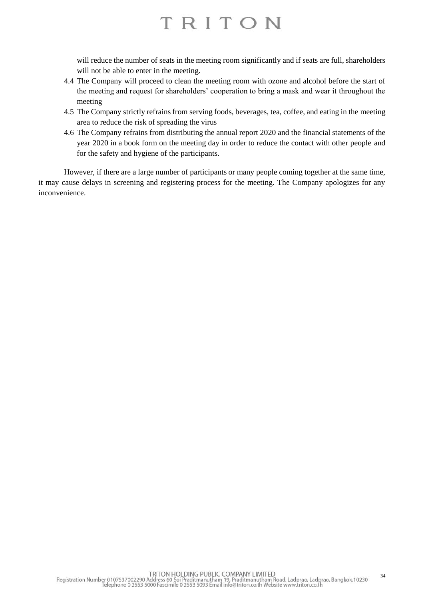will reduce the number of seats in the meeting room significantly and if seats are full, shareholders will not be able to enter in the meeting.

- 4.4 The Company will proceed to clean the meeting room with ozone and alcohol before the start of the meeting and request for shareholders' cooperation to bring a mask and wear it throughout the meeting
- 4.5 The Company strictly refrains from serving foods, beverages, tea, coffee, and eating in the meeting area to reduce the risk of spreading the virus
- 4.6 The Company refrains from distributing the annual report 2020 and the financial statements of the year 2020 in a book form on the meeting day in order to reduce the contact with other people and for the safety and hygiene of the participants.

However, if there are a large number of participants or many people coming together at the same time, it may cause delays in screening and registering process for the meeting. The Company apologizes for any inconvenience.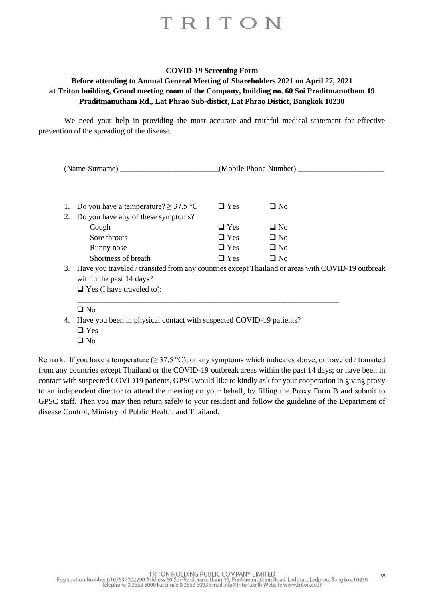#### **COVID-19 Screening Form**

## **Before attending to Annual General Meeting of Shareholders 2021 on April 27, 2021 at Triton building, Grand meeting room of the Company, building no. 60 Soi Praditmanutham 19 Praditmanutham Rd., Lat Phrao Sub-distict, Lat Phrao Distict, Bangkok 10230**

We need your help in providing the most accurate and truthful medical statement for effective prevention of the spreading of the disease.

| (Name-Surname) |                                                                                                  |            | (Mobile Phone Number) |  |  |  |
|----------------|--------------------------------------------------------------------------------------------------|------------|-----------------------|--|--|--|
|                |                                                                                                  |            |                       |  |  |  |
| 1.             | Do you have a temperature? $\geq$ 37.5 °C                                                        | $\Box$ Yes | $\square$ No          |  |  |  |
| 2.             | Do you have any of these symptoms?                                                               |            |                       |  |  |  |
|                | Cough                                                                                            | $\Box$ Yes | $\Box$ No             |  |  |  |
|                | Sore throats                                                                                     | $\Box$ Yes | $\Box$ No             |  |  |  |
|                | Runny nose                                                                                       | $\Box$ Yes | $\Box$ No             |  |  |  |
|                | Shortness of breath                                                                              | $\Box$ Yes | $\Box$ No             |  |  |  |
| 3.             | Have you traveled / transited from any countries except Thailand or areas with COVID-19 outbreak |            |                       |  |  |  |
|                | within the past 14 days?                                                                         |            |                       |  |  |  |
|                | $\Box$ Yes (I have traveled to):                                                                 |            |                       |  |  |  |
|                |                                                                                                  |            |                       |  |  |  |
|                | $\Box$ No                                                                                        |            |                       |  |  |  |
| 4.             | Have you been in physical contact with suspected COVID-19 patients?                              |            |                       |  |  |  |
|                | $\Box$ Yes                                                                                       |            |                       |  |  |  |

❑ No

Remark: If you have a temperature ( $\geq$  37.5 °C); or any symptoms which indicates above; or traveled / transited from any countries except Thailand or the COVID-19 outbreak areas within the past 14 days; or have been in contact with suspected COVID19 patients, GPSC would like to kindly ask for your cooperation in giving proxy to an independent director to attend the meeting on your behalf, by filling the Proxy Form B and submit to GPSC staff. Then you may then return safely to your resident and follow the guideline of the Department of disease Control, Ministry of Public Health, and Thailand.